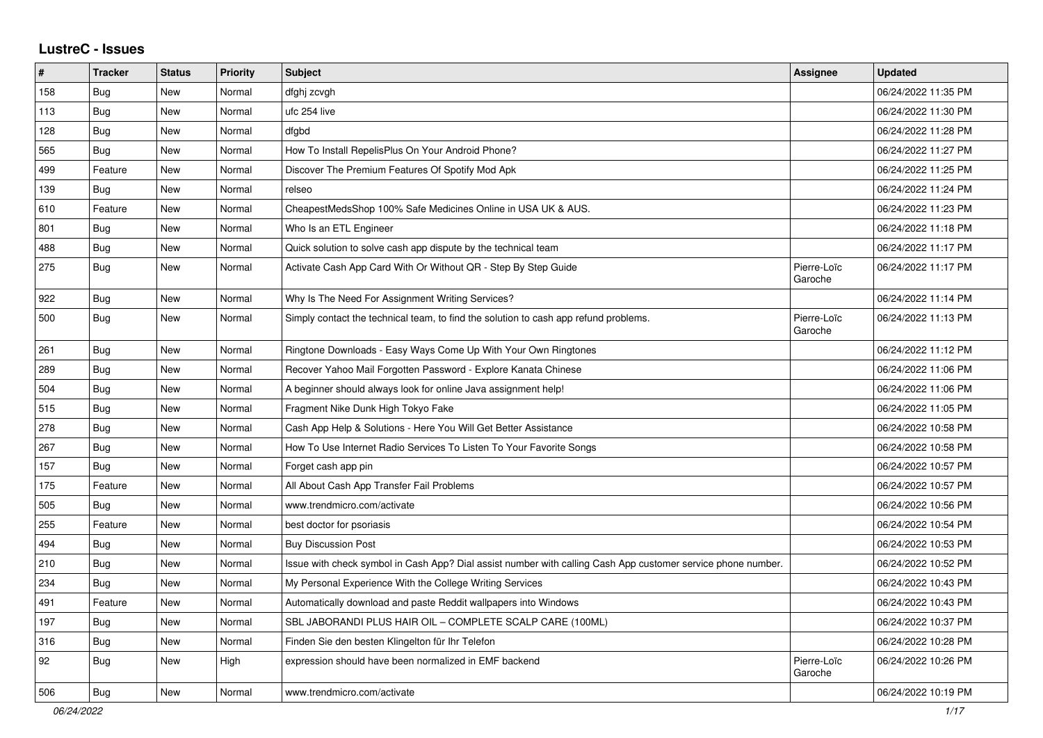## **LustreC - Issues**

| #   | <b>Tracker</b> | <b>Status</b> | <b>Priority</b> | <b>Subject</b>                                                                                               | <b>Assignee</b>        | <b>Updated</b>      |
|-----|----------------|---------------|-----------------|--------------------------------------------------------------------------------------------------------------|------------------------|---------------------|
| 158 | <b>Bug</b>     | New           | Normal          | dfghj zcvgh                                                                                                  |                        | 06/24/2022 11:35 PM |
| 113 | Bug            | New           | Normal          | ufc 254 live                                                                                                 |                        | 06/24/2022 11:30 PM |
| 128 | Bug            | New           | Normal          | dfgbd                                                                                                        |                        | 06/24/2022 11:28 PM |
| 565 | Bug            | New           | Normal          | How To Install RepelisPlus On Your Android Phone?                                                            |                        | 06/24/2022 11:27 PM |
| 499 | Feature        | New           | Normal          | Discover The Premium Features Of Spotify Mod Apk                                                             |                        | 06/24/2022 11:25 PM |
| 139 | <b>Bug</b>     | <b>New</b>    | Normal          | relseo                                                                                                       |                        | 06/24/2022 11:24 PM |
| 610 | Feature        | New           | Normal          | CheapestMedsShop 100% Safe Medicines Online in USA UK & AUS.                                                 |                        | 06/24/2022 11:23 PM |
| 801 | Bug            | New           | Normal          | Who Is an ETL Engineer                                                                                       |                        | 06/24/2022 11:18 PM |
| 488 | <b>Bug</b>     | New           | Normal          | Quick solution to solve cash app dispute by the technical team                                               |                        | 06/24/2022 11:17 PM |
| 275 | <b>Bug</b>     | <b>New</b>    | Normal          | Activate Cash App Card With Or Without QR - Step By Step Guide                                               | Pierre-Loïc<br>Garoche | 06/24/2022 11:17 PM |
| 922 | Bug            | New           | Normal          | Why Is The Need For Assignment Writing Services?                                                             |                        | 06/24/2022 11:14 PM |
| 500 | <b>Bug</b>     | New           | Normal          | Simply contact the technical team, to find the solution to cash app refund problems.                         | Pierre-Loïc<br>Garoche | 06/24/2022 11:13 PM |
| 261 | Bug            | New           | Normal          | Ringtone Downloads - Easy Ways Come Up With Your Own Ringtones                                               |                        | 06/24/2022 11:12 PM |
| 289 | <b>Bug</b>     | New           | Normal          | Recover Yahoo Mail Forgotten Password - Explore Kanata Chinese                                               |                        | 06/24/2022 11:06 PM |
| 504 | <b>Bug</b>     | New           | Normal          | A beginner should always look for online Java assignment help!                                               |                        | 06/24/2022 11:06 PM |
| 515 | <b>Bug</b>     | <b>New</b>    | Normal          | Fragment Nike Dunk High Tokyo Fake                                                                           |                        | 06/24/2022 11:05 PM |
| 278 | <b>Bug</b>     | <b>New</b>    | Normal          | Cash App Help & Solutions - Here You Will Get Better Assistance                                              |                        | 06/24/2022 10:58 PM |
| 267 | <b>Bug</b>     | New           | Normal          | How To Use Internet Radio Services To Listen To Your Favorite Songs                                          |                        | 06/24/2022 10:58 PM |
| 157 | Bug            | New           | Normal          | Forget cash app pin                                                                                          |                        | 06/24/2022 10:57 PM |
| 175 | Feature        | New           | Normal          | All About Cash App Transfer Fail Problems                                                                    |                        | 06/24/2022 10:57 PM |
| 505 | <b>Bug</b>     | New           | Normal          | www.trendmicro.com/activate                                                                                  |                        | 06/24/2022 10:56 PM |
| 255 | Feature        | New           | Normal          | best doctor for psoriasis                                                                                    |                        | 06/24/2022 10:54 PM |
| 494 | Bug            | New           | Normal          | <b>Buy Discussion Post</b>                                                                                   |                        | 06/24/2022 10:53 PM |
| 210 | <b>Bug</b>     | <b>New</b>    | Normal          | Issue with check symbol in Cash App? Dial assist number with calling Cash App customer service phone number. |                        | 06/24/2022 10:52 PM |
| 234 | Bug            | <b>New</b>    | Normal          | My Personal Experience With the College Writing Services                                                     |                        | 06/24/2022 10:43 PM |
| 491 | Feature        | <b>New</b>    | Normal          | Automatically download and paste Reddit wallpapers into Windows                                              |                        | 06/24/2022 10:43 PM |
| 197 | Bug            | New           | Normal          | SBL JABORANDI PLUS HAIR OIL - COMPLETE SCALP CARE (100ML)                                                    |                        | 06/24/2022 10:37 PM |
| 316 | <b>Bug</b>     | New           | Normal          | Finden Sie den besten Klingelton für Ihr Telefon                                                             |                        | 06/24/2022 10:28 PM |
| 92  | Bug            | New           | High            | expression should have been normalized in EMF backend                                                        | Pierre-Loïc<br>Garoche | 06/24/2022 10:26 PM |
| 506 | <b>Bug</b>     | New           | Normal          | www.trendmicro.com/activate                                                                                  |                        | 06/24/2022 10:19 PM |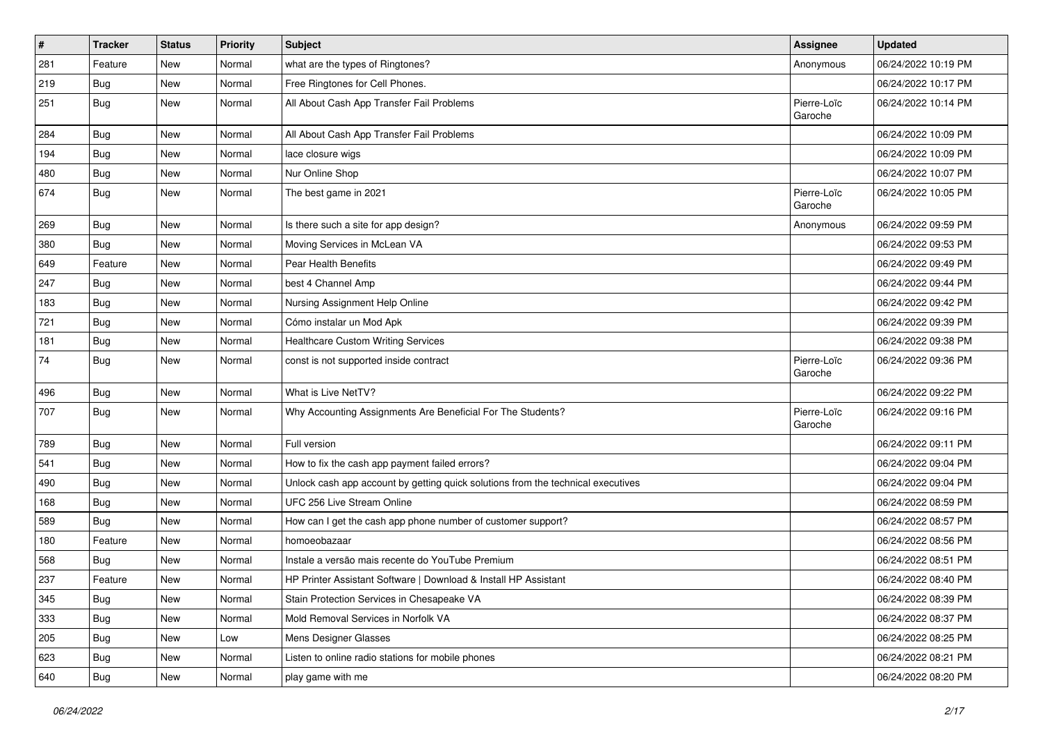| $\vert$ # | <b>Tracker</b> | <b>Status</b> | <b>Priority</b> | <b>Subject</b>                                                                   | <b>Assignee</b>        | <b>Updated</b>      |
|-----------|----------------|---------------|-----------------|----------------------------------------------------------------------------------|------------------------|---------------------|
| 281       | Feature        | New           | Normal          | what are the types of Ringtones?                                                 | Anonymous              | 06/24/2022 10:19 PM |
| 219       | Bug            | New           | Normal          | Free Ringtones for Cell Phones.                                                  |                        | 06/24/2022 10:17 PM |
| 251       | Bug            | New           | Normal          | All About Cash App Transfer Fail Problems                                        | Pierre-Loïc<br>Garoche | 06/24/2022 10:14 PM |
| 284       | Bug            | New           | Normal          | All About Cash App Transfer Fail Problems                                        |                        | 06/24/2022 10:09 PM |
| 194       | Bug            | New           | Normal          | lace closure wigs                                                                |                        | 06/24/2022 10:09 PM |
| 480       | <b>Bug</b>     | New           | Normal          | Nur Online Shop                                                                  |                        | 06/24/2022 10:07 PM |
| 674       | <b>Bug</b>     | New           | Normal          | The best game in 2021                                                            | Pierre-Loïc<br>Garoche | 06/24/2022 10:05 PM |
| 269       | Bug            | New           | Normal          | Is there such a site for app design?                                             | Anonymous              | 06/24/2022 09:59 PM |
| 380       | Bug            | New           | Normal          | Moving Services in McLean VA                                                     |                        | 06/24/2022 09:53 PM |
| 649       | Feature        | New           | Normal          | <b>Pear Health Benefits</b>                                                      |                        | 06/24/2022 09:49 PM |
| 247       | Bug            | New           | Normal          | best 4 Channel Amp                                                               |                        | 06/24/2022 09:44 PM |
| 183       | Bug            | New           | Normal          | Nursing Assignment Help Online                                                   |                        | 06/24/2022 09:42 PM |
| 721       | <b>Bug</b>     | New           | Normal          | Cómo instalar un Mod Apk                                                         |                        | 06/24/2022 09:39 PM |
| 181       | Bug            | New           | Normal          | <b>Healthcare Custom Writing Services</b>                                        |                        | 06/24/2022 09:38 PM |
| 74        | <b>Bug</b>     | New           | Normal          | const is not supported inside contract                                           | Pierre-Loïc<br>Garoche | 06/24/2022 09:36 PM |
| 496       | Bug            | New           | Normal          | What is Live NetTV?                                                              |                        | 06/24/2022 09:22 PM |
| 707       | Bug            | New           | Normal          | Why Accounting Assignments Are Beneficial For The Students?                      | Pierre-Loïc<br>Garoche | 06/24/2022 09:16 PM |
| 789       | Bug            | New           | Normal          | Full version                                                                     |                        | 06/24/2022 09:11 PM |
| 541       | <b>Bug</b>     | New           | Normal          | How to fix the cash app payment failed errors?                                   |                        | 06/24/2022 09:04 PM |
| 490       | <b>Bug</b>     | New           | Normal          | Unlock cash app account by getting quick solutions from the technical executives |                        | 06/24/2022 09:04 PM |
| 168       | <b>Bug</b>     | New           | Normal          | UFC 256 Live Stream Online                                                       |                        | 06/24/2022 08:59 PM |
| 589       | Bug            | New           | Normal          | How can I get the cash app phone number of customer support?                     |                        | 06/24/2022 08:57 PM |
| 180       | Feature        | New           | Normal          | homoeobazaar                                                                     |                        | 06/24/2022 08:56 PM |
| 568       | <b>Bug</b>     | New           | Normal          | Instale a versão mais recente do YouTube Premium                                 |                        | 06/24/2022 08:51 PM |
| 237       | Feature        | New           | Normal          | HP Printer Assistant Software   Download & Install HP Assistant                  |                        | 06/24/2022 08:40 PM |
| 345       | <b>Bug</b>     | New           | Normal          | Stain Protection Services in Chesapeake VA                                       |                        | 06/24/2022 08:39 PM |
| 333       | Bug            | New           | Normal          | Mold Removal Services in Norfolk VA                                              |                        | 06/24/2022 08:37 PM |
| 205       | <b>Bug</b>     | New           | Low             | Mens Designer Glasses                                                            |                        | 06/24/2022 08:25 PM |
| 623       | <b>Bug</b>     | New           | Normal          | Listen to online radio stations for mobile phones                                |                        | 06/24/2022 08:21 PM |
| 640       | <b>Bug</b>     | New           | Normal          | play game with me                                                                |                        | 06/24/2022 08:20 PM |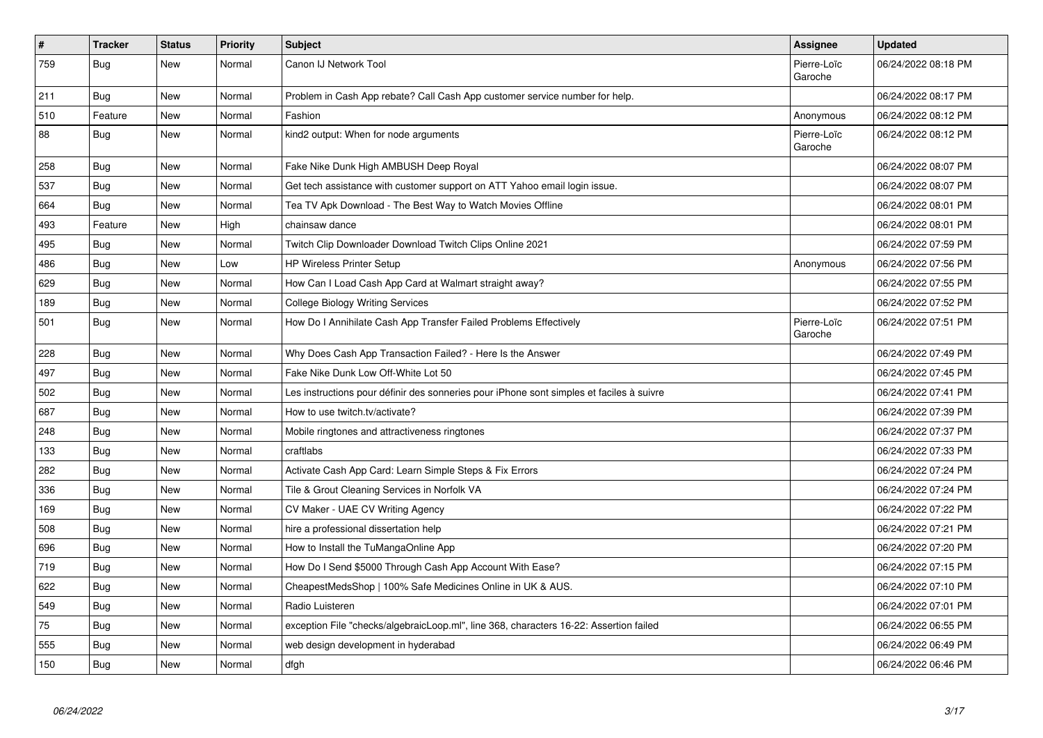| $\vert$ # | <b>Tracker</b> | <b>Status</b> | <b>Priority</b> | <b>Subject</b>                                                                           | Assignee               | <b>Updated</b>      |
|-----------|----------------|---------------|-----------------|------------------------------------------------------------------------------------------|------------------------|---------------------|
| 759       | Bug            | New           | Normal          | Canon IJ Network Tool                                                                    | Pierre-Loïc<br>Garoche | 06/24/2022 08:18 PM |
| 211       | Bug            | New           | Normal          | Problem in Cash App rebate? Call Cash App customer service number for help.              |                        | 06/24/2022 08:17 PM |
| 510       | Feature        | New           | Normal          | Fashion                                                                                  | Anonymous              | 06/24/2022 08:12 PM |
| 88        | Bug            | New           | Normal          | kind2 output: When for node arguments                                                    | Pierre-Loïc<br>Garoche | 06/24/2022 08:12 PM |
| 258       | <b>Bug</b>     | New           | Normal          | Fake Nike Dunk High AMBUSH Deep Royal                                                    |                        | 06/24/2022 08:07 PM |
| 537       | <b>Bug</b>     | New           | Normal          | Get tech assistance with customer support on ATT Yahoo email login issue.                |                        | 06/24/2022 08:07 PM |
| 664       | Bug            | New           | Normal          | Tea TV Apk Download - The Best Way to Watch Movies Offline                               |                        | 06/24/2022 08:01 PM |
| 493       | Feature        | New           | High            | chainsaw dance                                                                           |                        | 06/24/2022 08:01 PM |
| 495       | <b>Bug</b>     | <b>New</b>    | Normal          | Twitch Clip Downloader Download Twitch Clips Online 2021                                 |                        | 06/24/2022 07:59 PM |
| 486       | <b>Bug</b>     | <b>New</b>    | Low             | <b>HP Wireless Printer Setup</b>                                                         | Anonymous              | 06/24/2022 07:56 PM |
| 629       | Bug            | <b>New</b>    | Normal          | How Can I Load Cash App Card at Walmart straight away?                                   |                        | 06/24/2022 07:55 PM |
| 189       | Bug            | <b>New</b>    | Normal          | <b>College Biology Writing Services</b>                                                  |                        | 06/24/2022 07:52 PM |
| 501       | <b>Bug</b>     | <b>New</b>    | Normal          | How Do I Annihilate Cash App Transfer Failed Problems Effectively                        | Pierre-Loïc<br>Garoche | 06/24/2022 07:51 PM |
| 228       | Bug            | <b>New</b>    | Normal          | Why Does Cash App Transaction Failed? - Here Is the Answer                               |                        | 06/24/2022 07:49 PM |
| 497       | <b>Bug</b>     | <b>New</b>    | Normal          | Fake Nike Dunk Low Off-White Lot 50                                                      |                        | 06/24/2022 07:45 PM |
| 502       | <b>Bug</b>     | <b>New</b>    | Normal          | Les instructions pour définir des sonneries pour iPhone sont simples et faciles à suivre |                        | 06/24/2022 07:41 PM |
| 687       | Bug            | New           | Normal          | How to use twitch.tv/activate?                                                           |                        | 06/24/2022 07:39 PM |
| 248       | <b>Bug</b>     | <b>New</b>    | Normal          | Mobile ringtones and attractiveness ringtones                                            |                        | 06/24/2022 07:37 PM |
| 133       | Bug            | <b>New</b>    | Normal          | craftlabs                                                                                |                        | 06/24/2022 07:33 PM |
| 282       | <b>Bug</b>     | <b>New</b>    | Normal          | Activate Cash App Card: Learn Simple Steps & Fix Errors                                  |                        | 06/24/2022 07:24 PM |
| 336       | <b>Bug</b>     | <b>New</b>    | Normal          | Tile & Grout Cleaning Services in Norfolk VA                                             |                        | 06/24/2022 07:24 PM |
| 169       | <b>Bug</b>     | <b>New</b>    | Normal          | CV Maker - UAE CV Writing Agency                                                         |                        | 06/24/2022 07:22 PM |
| 508       | <b>Bug</b>     | New           | Normal          | hire a professional dissertation help                                                    |                        | 06/24/2022 07:21 PM |
| 696       | <b>Bug</b>     | New           | Normal          | How to Install the TuMangaOnline App                                                     |                        | 06/24/2022 07:20 PM |
| 719       | <b>Bug</b>     | New           | Normal          | How Do I Send \$5000 Through Cash App Account With Ease?                                 |                        | 06/24/2022 07:15 PM |
| 622       | <b>Bug</b>     | New           | Normal          | CheapestMedsShop   100% Safe Medicines Online in UK & AUS.                               |                        | 06/24/2022 07:10 PM |
| 549       | <b>Bug</b>     | <b>New</b>    | Normal          | Radio Luisteren                                                                          |                        | 06/24/2022 07:01 PM |
| 75        | <b>Bug</b>     | New           | Normal          | exception File "checks/algebraicLoop.ml", line 368, characters 16-22: Assertion failed   |                        | 06/24/2022 06:55 PM |
| 555       | Bug            | New           | Normal          | web design development in hyderabad                                                      |                        | 06/24/2022 06:49 PM |
| 150       | <b>Bug</b>     | <b>New</b>    | Normal          | dfgh                                                                                     |                        | 06/24/2022 06:46 PM |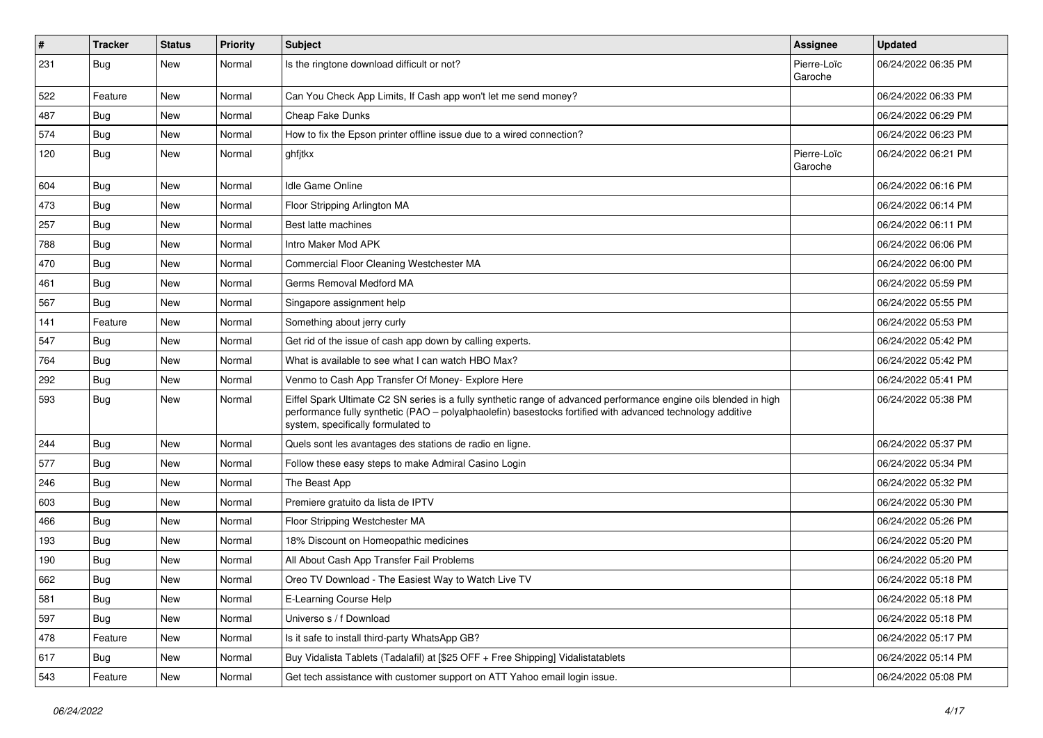| $\vert$ # | Tracker    | <b>Status</b> | <b>Priority</b> | Subject                                                                                                                                                                                                                                                               | Assignee               | <b>Updated</b>      |
|-----------|------------|---------------|-----------------|-----------------------------------------------------------------------------------------------------------------------------------------------------------------------------------------------------------------------------------------------------------------------|------------------------|---------------------|
| 231       | <b>Bug</b> | New           | Normal          | Is the ringtone download difficult or not?                                                                                                                                                                                                                            | Pierre-Loïc<br>Garoche | 06/24/2022 06:35 PM |
| 522       | Feature    | New           | Normal          | Can You Check App Limits, If Cash app won't let me send money?                                                                                                                                                                                                        |                        | 06/24/2022 06:33 PM |
| 487       | Bug        | New           | Normal          | Cheap Fake Dunks                                                                                                                                                                                                                                                      |                        | 06/24/2022 06:29 PM |
| 574       | Bug        | New           | Normal          | How to fix the Epson printer offline issue due to a wired connection?                                                                                                                                                                                                 |                        | 06/24/2022 06:23 PM |
| 120       | <b>Bug</b> | New           | Normal          | ghfjtkx                                                                                                                                                                                                                                                               | Pierre-Loïc<br>Garoche | 06/24/2022 06:21 PM |
| 604       | <b>Bug</b> | New           | Normal          | Idle Game Online                                                                                                                                                                                                                                                      |                        | 06/24/2022 06:16 PM |
| 473       | <b>Bug</b> | New           | Normal          | Floor Stripping Arlington MA                                                                                                                                                                                                                                          |                        | 06/24/2022 06:14 PM |
| 257       | <b>Bug</b> | New           | Normal          | Best latte machines                                                                                                                                                                                                                                                   |                        | 06/24/2022 06:11 PM |
| 788       | Bug        | New           | Normal          | Intro Maker Mod APK                                                                                                                                                                                                                                                   |                        | 06/24/2022 06:06 PM |
| 470       | <b>Bug</b> | New           | Normal          | Commercial Floor Cleaning Westchester MA                                                                                                                                                                                                                              |                        | 06/24/2022 06:00 PM |
| 461       | Bug        | New           | Normal          | Germs Removal Medford MA                                                                                                                                                                                                                                              |                        | 06/24/2022 05:59 PM |
| 567       | Bug        | New           | Normal          | Singapore assignment help                                                                                                                                                                                                                                             |                        | 06/24/2022 05:55 PM |
| 141       | Feature    | New           | Normal          | Something about jerry curly                                                                                                                                                                                                                                           |                        | 06/24/2022 05:53 PM |
| 547       | Bug        | New           | Normal          | Get rid of the issue of cash app down by calling experts.                                                                                                                                                                                                             |                        | 06/24/2022 05:42 PM |
| 764       | <b>Bug</b> | New           | Normal          | What is available to see what I can watch HBO Max?                                                                                                                                                                                                                    |                        | 06/24/2022 05:42 PM |
| 292       | Bug        | New           | Normal          | Venmo to Cash App Transfer Of Money- Explore Here                                                                                                                                                                                                                     |                        | 06/24/2022 05:41 PM |
| 593       | Bug        | New           | Normal          | Eiffel Spark Ultimate C2 SN series is a fully synthetic range of advanced performance engine oils blended in high<br>performance fully synthetic (PAO - polyalphaolefin) basestocks fortified with advanced technology additive<br>system, specifically formulated to |                        | 06/24/2022 05:38 PM |
| 244       | Bug        | New           | Normal          | Quels sont les avantages des stations de radio en ligne.                                                                                                                                                                                                              |                        | 06/24/2022 05:37 PM |
| 577       | Bug        | New           | Normal          | Follow these easy steps to make Admiral Casino Login                                                                                                                                                                                                                  |                        | 06/24/2022 05:34 PM |
| 246       | Bug        | New           | Normal          | The Beast App                                                                                                                                                                                                                                                         |                        | 06/24/2022 05:32 PM |
| 603       | Bug        | New           | Normal          | Premiere gratuito da lista de IPTV                                                                                                                                                                                                                                    |                        | 06/24/2022 05:30 PM |
| 466       | Bug        | New           | Normal          | Floor Stripping Westchester MA                                                                                                                                                                                                                                        |                        | 06/24/2022 05:26 PM |
| 193       | <b>Bug</b> | New           | Normal          | 18% Discount on Homeopathic medicines                                                                                                                                                                                                                                 |                        | 06/24/2022 05:20 PM |
| 190       | <b>Bug</b> | New           | Normal          | All About Cash App Transfer Fail Problems                                                                                                                                                                                                                             |                        | 06/24/2022 05:20 PM |
| 662       | <b>Bug</b> | New           | Normal          | Oreo TV Download - The Easiest Way to Watch Live TV                                                                                                                                                                                                                   |                        | 06/24/2022 05:18 PM |
| 581       | <b>Bug</b> | New           | Normal          | E-Learning Course Help                                                                                                                                                                                                                                                |                        | 06/24/2022 05:18 PM |
| 597       | <b>Bug</b> | New           | Normal          | Universo s / f Download                                                                                                                                                                                                                                               |                        | 06/24/2022 05:18 PM |
| 478       | Feature    | New           | Normal          | Is it safe to install third-party WhatsApp GB?                                                                                                                                                                                                                        |                        | 06/24/2022 05:17 PM |
| 617       | Bug        | New           | Normal          | Buy Vidalista Tablets (Tadalafil) at [\$25 OFF + Free Shipping] Vidalistatablets                                                                                                                                                                                      |                        | 06/24/2022 05:14 PM |
| 543       | Feature    | New           | Normal          | Get tech assistance with customer support on ATT Yahoo email login issue.                                                                                                                                                                                             |                        | 06/24/2022 05:08 PM |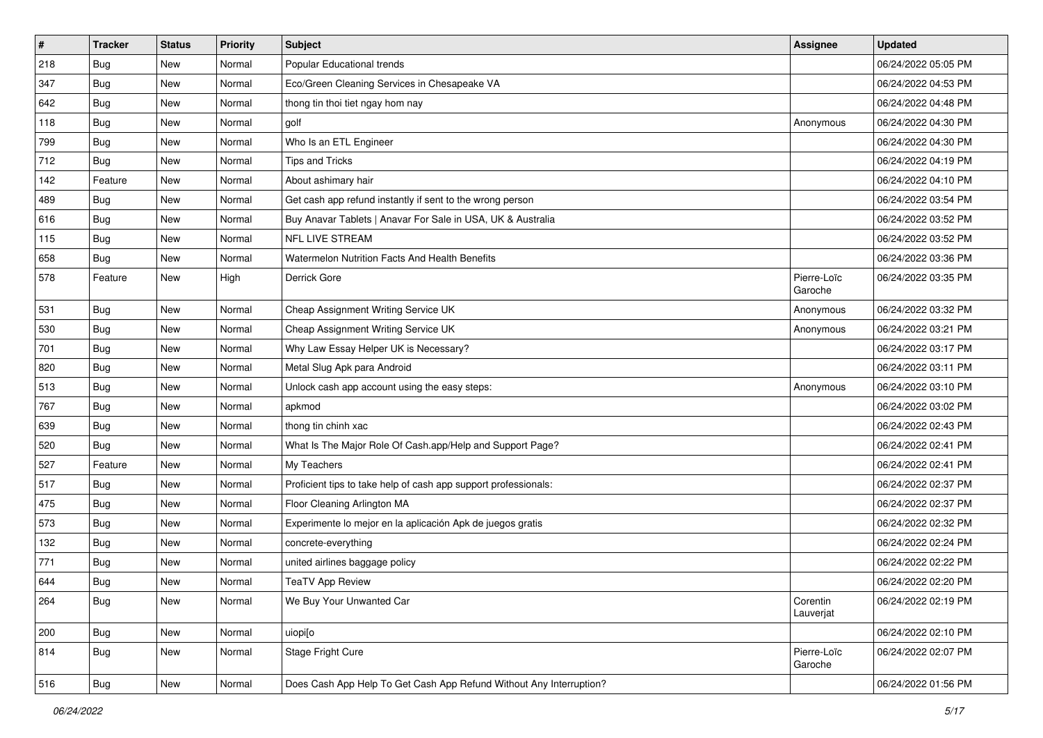| $\vert$ # | <b>Tracker</b> | <b>Status</b> | <b>Priority</b> | Subject                                                             | <b>Assignee</b>        | <b>Updated</b>      |
|-----------|----------------|---------------|-----------------|---------------------------------------------------------------------|------------------------|---------------------|
| 218       | <b>Bug</b>     | New           | Normal          | Popular Educational trends                                          |                        | 06/24/2022 05:05 PM |
| 347       | Bug            | New           | Normal          | Eco/Green Cleaning Services in Chesapeake VA                        |                        | 06/24/2022 04:53 PM |
| 642       | <b>Bug</b>     | New           | Normal          | thong tin thoi tiet ngay hom nay                                    |                        | 06/24/2022 04:48 PM |
| 118       | <b>Bug</b>     | New           | Normal          | golf                                                                | Anonymous              | 06/24/2022 04:30 PM |
| 799       | Bug            | New           | Normal          | Who Is an ETL Engineer                                              |                        | 06/24/2022 04:30 PM |
| 712       | <b>Bug</b>     | New           | Normal          | <b>Tips and Tricks</b>                                              |                        | 06/24/2022 04:19 PM |
| 142       | Feature        | New           | Normal          | About ashimary hair                                                 |                        | 06/24/2022 04:10 PM |
| 489       | <b>Bug</b>     | New           | Normal          | Get cash app refund instantly if sent to the wrong person           |                        | 06/24/2022 03:54 PM |
| 616       | <b>Bug</b>     | New           | Normal          | Buy Anavar Tablets   Anavar For Sale in USA, UK & Australia         |                        | 06/24/2022 03:52 PM |
| 115       | Bug            | New           | Normal          | NFL LIVE STREAM                                                     |                        | 06/24/2022 03:52 PM |
| 658       | Bug            | New           | Normal          | Watermelon Nutrition Facts And Health Benefits                      |                        | 06/24/2022 03:36 PM |
| 578       | Feature        | New           | High            | Derrick Gore                                                        | Pierre-Loïc<br>Garoche | 06/24/2022 03:35 PM |
| 531       | Bug            | New           | Normal          | Cheap Assignment Writing Service UK                                 | Anonymous              | 06/24/2022 03:32 PM |
| 530       | Bug            | New           | Normal          | Cheap Assignment Writing Service UK                                 | Anonymous              | 06/24/2022 03:21 PM |
| 701       | Bug            | New           | Normal          | Why Law Essay Helper UK is Necessary?                               |                        | 06/24/2022 03:17 PM |
| 820       | <b>Bug</b>     | New           | Normal          | Metal Slug Apk para Android                                         |                        | 06/24/2022 03:11 PM |
| 513       | Bug            | New           | Normal          | Unlock cash app account using the easy steps:                       | Anonymous              | 06/24/2022 03:10 PM |
| 767       | <b>Bug</b>     | New           | Normal          | apkmod                                                              |                        | 06/24/2022 03:02 PM |
| 639       | <b>Bug</b>     | New           | Normal          | thong tin chinh xac                                                 |                        | 06/24/2022 02:43 PM |
| 520       | <b>Bug</b>     | New           | Normal          | What Is The Major Role Of Cash.app/Help and Support Page?           |                        | 06/24/2022 02:41 PM |
| 527       | Feature        | New           | Normal          | My Teachers                                                         |                        | 06/24/2022 02:41 PM |
| 517       | Bug            | New           | Normal          | Proficient tips to take help of cash app support professionals:     |                        | 06/24/2022 02:37 PM |
| 475       | <b>Bug</b>     | New           | Normal          | Floor Cleaning Arlington MA                                         |                        | 06/24/2022 02:37 PM |
| 573       | Bug            | New           | Normal          | Experimente lo mejor en la aplicación Apk de juegos gratis          |                        | 06/24/2022 02:32 PM |
| 132       | <b>Bug</b>     | New           | Normal          | concrete-everything                                                 |                        | 06/24/2022 02:24 PM |
| 771       | <b>Bug</b>     | New           | Normal          | united airlines baggage policy                                      |                        | 06/24/2022 02:22 PM |
| 644       | <b>Bug</b>     | New           | Normal          | <b>TeaTV App Review</b>                                             |                        | 06/24/2022 02:20 PM |
| 264       | <b>Bug</b>     | New           | Normal          | We Buy Your Unwanted Car                                            | Corentin<br>Lauverjat  | 06/24/2022 02:19 PM |
| 200       | <b>Bug</b>     | New           | Normal          | uiopi[o                                                             |                        | 06/24/2022 02:10 PM |
| 814       | <b>Bug</b>     | New           | Normal          | Stage Fright Cure                                                   | Pierre-Loïc<br>Garoche | 06/24/2022 02:07 PM |
| 516       | Bug            | New           | Normal          | Does Cash App Help To Get Cash App Refund Without Any Interruption? |                        | 06/24/2022 01:56 PM |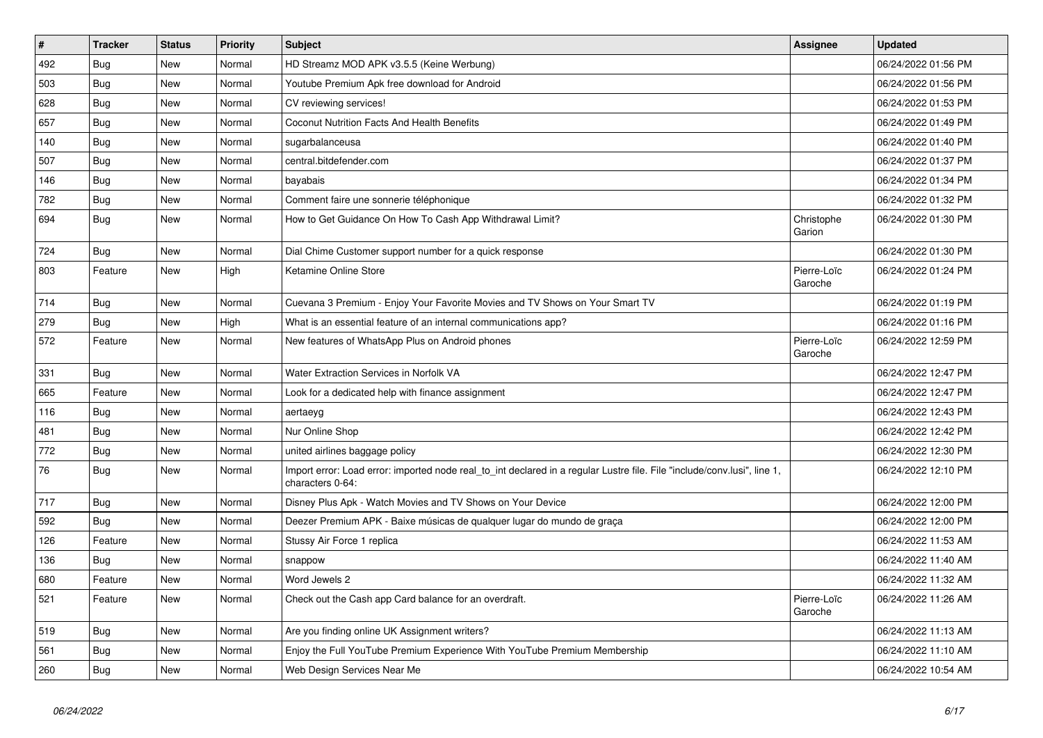| $\vert$ # | <b>Tracker</b> | <b>Status</b> | Priority | <b>Subject</b>                                                                                                                               | <b>Assignee</b>        | <b>Updated</b>      |
|-----------|----------------|---------------|----------|----------------------------------------------------------------------------------------------------------------------------------------------|------------------------|---------------------|
| 492       | Bug            | <b>New</b>    | Normal   | HD Streamz MOD APK v3.5.5 (Keine Werbung)                                                                                                    |                        | 06/24/2022 01:56 PM |
| 503       | <b>Bug</b>     | <b>New</b>    | Normal   | Youtube Premium Apk free download for Android                                                                                                |                        | 06/24/2022 01:56 PM |
| 628       | Bug            | New           | Normal   | CV reviewing services!                                                                                                                       |                        | 06/24/2022 01:53 PM |
| 657       | <b>Bug</b>     | <b>New</b>    | Normal   | Coconut Nutrition Facts And Health Benefits                                                                                                  |                        | 06/24/2022 01:49 PM |
| 140       | <b>Bug</b>     | <b>New</b>    | Normal   | sugarbalanceusa                                                                                                                              |                        | 06/24/2022 01:40 PM |
| 507       | <b>Bug</b>     | <b>New</b>    | Normal   | central.bitdefender.com                                                                                                                      |                        | 06/24/2022 01:37 PM |
| 146       | Bug            | New           | Normal   | bayabais                                                                                                                                     |                        | 06/24/2022 01:34 PM |
| 782       | <b>Bug</b>     | New           | Normal   | Comment faire une sonnerie téléphonique                                                                                                      |                        | 06/24/2022 01:32 PM |
| 694       | <b>Bug</b>     | <b>New</b>    | Normal   | How to Get Guidance On How To Cash App Withdrawal Limit?                                                                                     | Christophe<br>Garion   | 06/24/2022 01:30 PM |
| 724       | Bug            | New           | Normal   | Dial Chime Customer support number for a quick response                                                                                      |                        | 06/24/2022 01:30 PM |
| 803       | Feature        | New           | High     | Ketamine Online Store                                                                                                                        | Pierre-Loïc<br>Garoche | 06/24/2022 01:24 PM |
| 714       | <b>Bug</b>     | New           | Normal   | Cuevana 3 Premium - Enjoy Your Favorite Movies and TV Shows on Your Smart TV                                                                 |                        | 06/24/2022 01:19 PM |
| 279       | Bug            | New           | High     | What is an essential feature of an internal communications app?                                                                              |                        | 06/24/2022 01:16 PM |
| 572       | Feature        | New           | Normal   | New features of WhatsApp Plus on Android phones                                                                                              | Pierre-Loïc<br>Garoche | 06/24/2022 12:59 PM |
| 331       | <b>Bug</b>     | <b>New</b>    | Normal   | Water Extraction Services in Norfolk VA                                                                                                      |                        | 06/24/2022 12:47 PM |
| 665       | Feature        | New           | Normal   | Look for a dedicated help with finance assignment                                                                                            |                        | 06/24/2022 12:47 PM |
| 116       | Bug            | New           | Normal   | aertaeyg                                                                                                                                     |                        | 06/24/2022 12:43 PM |
| 481       | Bug            | New           | Normal   | Nur Online Shop                                                                                                                              |                        | 06/24/2022 12:42 PM |
| 772       | <b>Bug</b>     | <b>New</b>    | Normal   | united airlines baggage policy                                                                                                               |                        | 06/24/2022 12:30 PM |
| 76        | <b>Bug</b>     | New           | Normal   | Import error: Load error: imported node real_to_int declared in a regular Lustre file. File "include/conv.lusi", line 1,<br>characters 0-64: |                        | 06/24/2022 12:10 PM |
| 717       | <b>Bug</b>     | New           | Normal   | Disney Plus Apk - Watch Movies and TV Shows on Your Device                                                                                   |                        | 06/24/2022 12:00 PM |
| 592       | Bug            | New           | Normal   | Deezer Premium APK - Baixe músicas de qualquer lugar do mundo de graça                                                                       |                        | 06/24/2022 12:00 PM |
| 126       | Feature        | <b>New</b>    | Normal   | Stussy Air Force 1 replica                                                                                                                   |                        | 06/24/2022 11:53 AM |
| 136       | Bug            | <b>New</b>    | Normal   | snappow                                                                                                                                      |                        | 06/24/2022 11:40 AM |
| 680       | Feature        | New           | Normal   | Word Jewels 2                                                                                                                                |                        | 06/24/2022 11:32 AM |
| 521       | Feature        | <b>New</b>    | Normal   | Check out the Cash app Card balance for an overdraft.                                                                                        | Pierre-Loïc<br>Garoche | 06/24/2022 11:26 AM |
| 519       | Bug            | New           | Normal   | Are you finding online UK Assignment writers?                                                                                                |                        | 06/24/2022 11:13 AM |
| 561       | <b>Bug</b>     | New           | Normal   | Enjoy the Full YouTube Premium Experience With YouTube Premium Membership                                                                    |                        | 06/24/2022 11:10 AM |
| 260       | <b>Bug</b>     | New           | Normal   | Web Design Services Near Me                                                                                                                  |                        | 06/24/2022 10:54 AM |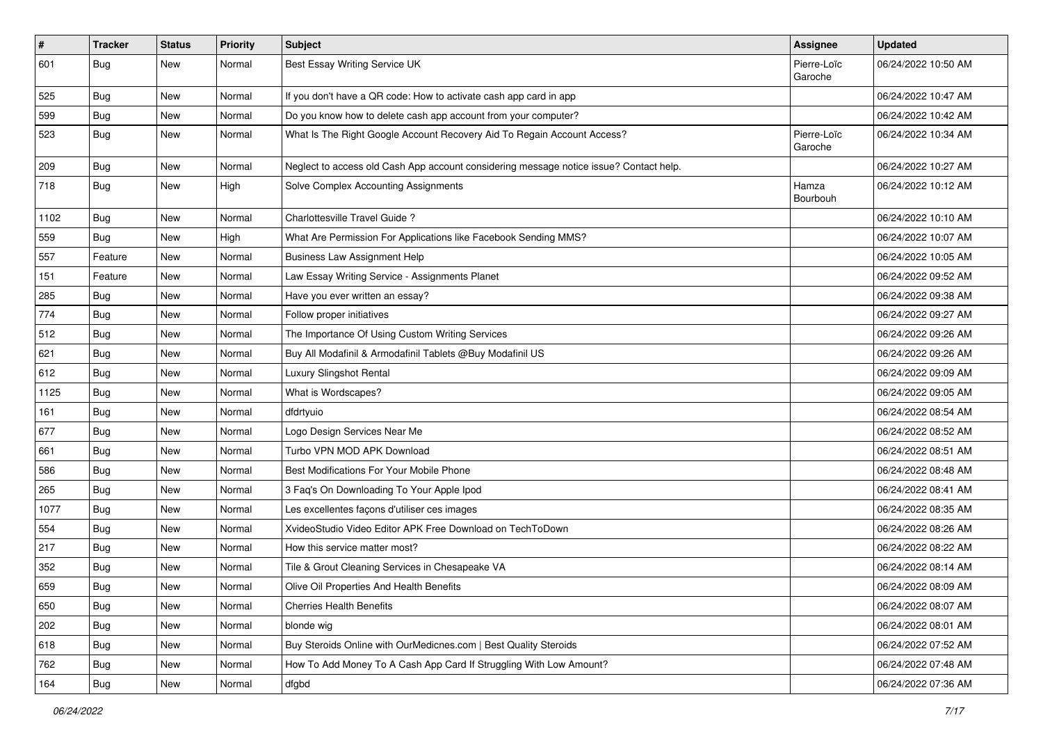| $\vert$ # | <b>Tracker</b> | <b>Status</b> | <b>Priority</b> | Subject                                                                                | <b>Assignee</b>        | <b>Updated</b>      |
|-----------|----------------|---------------|-----------------|----------------------------------------------------------------------------------------|------------------------|---------------------|
| 601       | Bug            | New           | Normal          | Best Essay Writing Service UK                                                          | Pierre-Loïc<br>Garoche | 06/24/2022 10:50 AM |
| 525       | <b>Bug</b>     | New           | Normal          | If you don't have a QR code: How to activate cash app card in app                      |                        | 06/24/2022 10:47 AM |
| 599       | <b>Bug</b>     | New           | Normal          | Do you know how to delete cash app account from your computer?                         |                        | 06/24/2022 10:42 AM |
| 523       | Bug            | New           | Normal          | What Is The Right Google Account Recovery Aid To Regain Account Access?                | Pierre-Loïc<br>Garoche | 06/24/2022 10:34 AM |
| 209       | Bug            | New           | Normal          | Neglect to access old Cash App account considering message notice issue? Contact help. |                        | 06/24/2022 10:27 AM |
| 718       | <b>Bug</b>     | New           | High            | Solve Complex Accounting Assignments                                                   | Hamza<br>Bourbouh      | 06/24/2022 10:12 AM |
| 1102      | <b>Bug</b>     | New           | Normal          | Charlottesville Travel Guide?                                                          |                        | 06/24/2022 10:10 AM |
| 559       | Bug            | New           | High            | What Are Permission For Applications like Facebook Sending MMS?                        |                        | 06/24/2022 10:07 AM |
| 557       | Feature        | New           | Normal          | <b>Business Law Assignment Help</b>                                                    |                        | 06/24/2022 10:05 AM |
| 151       | Feature        | New           | Normal          | Law Essay Writing Service - Assignments Planet                                         |                        | 06/24/2022 09:52 AM |
| 285       | Bug            | New           | Normal          | Have you ever written an essay?                                                        |                        | 06/24/2022 09:38 AM |
| 774       | <b>Bug</b>     | New           | Normal          | Follow proper initiatives                                                              |                        | 06/24/2022 09:27 AM |
| 512       | Bug            | New           | Normal          | The Importance Of Using Custom Writing Services                                        |                        | 06/24/2022 09:26 AM |
| 621       | <b>Bug</b>     | New           | Normal          | Buy All Modafinil & Armodafinil Tablets @Buy Modafinil US                              |                        | 06/24/2022 09:26 AM |
| 612       | <b>Bug</b>     | New           | Normal          | Luxury Slingshot Rental                                                                |                        | 06/24/2022 09:09 AM |
| 1125      | <b>Bug</b>     | New           | Normal          | What is Wordscapes?                                                                    |                        | 06/24/2022 09:05 AM |
| 161       | Bug            | New           | Normal          | dfdrtyuio                                                                              |                        | 06/24/2022 08:54 AM |
| 677       | <b>Bug</b>     | New           | Normal          | Logo Design Services Near Me                                                           |                        | 06/24/2022 08:52 AM |
| 661       | Bug            | New           | Normal          | Turbo VPN MOD APK Download                                                             |                        | 06/24/2022 08:51 AM |
| 586       | <b>Bug</b>     | New           | Normal          | Best Modifications For Your Mobile Phone                                               |                        | 06/24/2022 08:48 AM |
| 265       | <b>Bug</b>     | New           | Normal          | 3 Faq's On Downloading To Your Apple Ipod                                              |                        | 06/24/2022 08:41 AM |
| 1077      | <b>Bug</b>     | New           | Normal          | Les excellentes façons d'utiliser ces images                                           |                        | 06/24/2022 08:35 AM |
| 554       | Bug            | New           | Normal          | XvideoStudio Video Editor APK Free Download on TechToDown                              |                        | 06/24/2022 08:26 AM |
| 217       | Bug            | New           | Normal          | How this service matter most?                                                          |                        | 06/24/2022 08:22 AM |
| 352       | <b>Bug</b>     | New           | Normal          | Tile & Grout Cleaning Services in Chesapeake VA                                        |                        | 06/24/2022 08:14 AM |
| 659       | Bug            | New           | Normal          | Olive Oil Properties And Health Benefits                                               |                        | 06/24/2022 08:09 AM |
| 650       | <b>Bug</b>     | New           | Normal          | <b>Cherries Health Benefits</b>                                                        |                        | 06/24/2022 08:07 AM |
| 202       | <b>Bug</b>     | New           | Normal          | blonde wig                                                                             |                        | 06/24/2022 08:01 AM |
| 618       | <b>Bug</b>     | New           | Normal          | Buy Steroids Online with OurMedicnes.com   Best Quality Steroids                       |                        | 06/24/2022 07:52 AM |
| 762       | Bug            | New           | Normal          | How To Add Money To A Cash App Card If Struggling With Low Amount?                     |                        | 06/24/2022 07:48 AM |
| 164       | Bug            | New           | Normal          | dfgbd                                                                                  |                        | 06/24/2022 07:36 AM |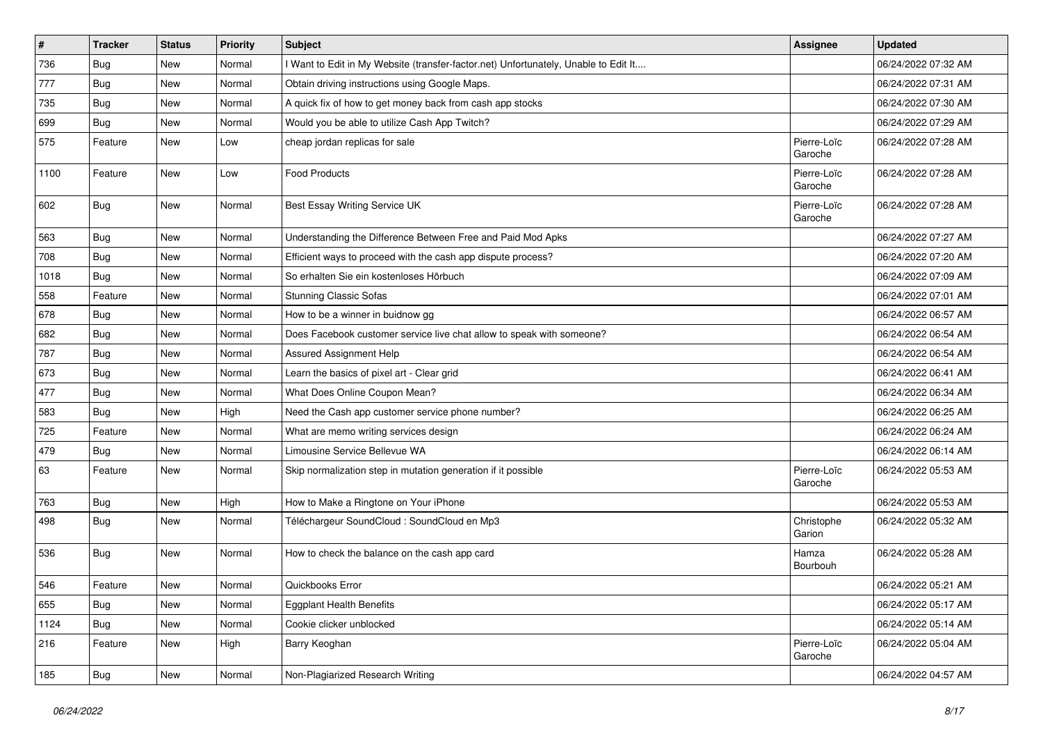| #    | <b>Tracker</b> | <b>Status</b> | Priority | <b>Subject</b>                                                                      | Assignee               | <b>Updated</b>      |
|------|----------------|---------------|----------|-------------------------------------------------------------------------------------|------------------------|---------------------|
| 736  | <b>Bug</b>     | New           | Normal   | I Want to Edit in My Website (transfer-factor.net) Unfortunately, Unable to Edit It |                        | 06/24/2022 07:32 AM |
| 777  | Bug            | New           | Normal   | Obtain driving instructions using Google Maps.                                      |                        | 06/24/2022 07:31 AM |
| 735  | Bug            | New           | Normal   | A quick fix of how to get money back from cash app stocks                           |                        | 06/24/2022 07:30 AM |
| 699  | <b>Bug</b>     | New           | Normal   | Would you be able to utilize Cash App Twitch?                                       |                        | 06/24/2022 07:29 AM |
| 575  | Feature        | New           | Low      | cheap jordan replicas for sale                                                      | Pierre-Loïc<br>Garoche | 06/24/2022 07:28 AM |
| 1100 | Feature        | New           | Low      | <b>Food Products</b>                                                                | Pierre-Loïc<br>Garoche | 06/24/2022 07:28 AM |
| 602  | Bug            | New           | Normal   | Best Essay Writing Service UK                                                       | Pierre-Loïc<br>Garoche | 06/24/2022 07:28 AM |
| 563  | Bug            | New           | Normal   | Understanding the Difference Between Free and Paid Mod Apks                         |                        | 06/24/2022 07:27 AM |
| 708  | <b>Bug</b>     | New           | Normal   | Efficient ways to proceed with the cash app dispute process?                        |                        | 06/24/2022 07:20 AM |
| 1018 | <b>Bug</b>     | <b>New</b>    | Normal   | So erhalten Sie ein kostenloses Hörbuch                                             |                        | 06/24/2022 07:09 AM |
| 558  | Feature        | New           | Normal   | Stunning Classic Sofas                                                              |                        | 06/24/2022 07:01 AM |
| 678  | <b>Bug</b>     | New           | Normal   | How to be a winner in buidnow gg                                                    |                        | 06/24/2022 06:57 AM |
| 682  | Bug            | New           | Normal   | Does Facebook customer service live chat allow to speak with someone?               |                        | 06/24/2022 06:54 AM |
| 787  | <b>Bug</b>     | New           | Normal   | Assured Assignment Help                                                             |                        | 06/24/2022 06:54 AM |
| 673  | <b>Bug</b>     | New           | Normal   | Learn the basics of pixel art - Clear grid                                          |                        | 06/24/2022 06:41 AM |
| 477  | Bug            | New           | Normal   | What Does Online Coupon Mean?                                                       |                        | 06/24/2022 06:34 AM |
| 583  | Bug            | New           | High     | Need the Cash app customer service phone number?                                    |                        | 06/24/2022 06:25 AM |
| 725  | Feature        | New           | Normal   | What are memo writing services design                                               |                        | 06/24/2022 06:24 AM |
| 479  | <b>Bug</b>     | New           | Normal   | Limousine Service Bellevue WA                                                       |                        | 06/24/2022 06:14 AM |
| 63   | Feature        | New           | Normal   | Skip normalization step in mutation generation if it possible                       | Pierre-Loïc<br>Garoche | 06/24/2022 05:53 AM |
| 763  | Bug            | New           | High     | How to Make a Ringtone on Your iPhone                                               |                        | 06/24/2022 05:53 AM |
| 498  | <b>Bug</b>     | New           | Normal   | Téléchargeur SoundCloud : SoundCloud en Mp3                                         | Christophe<br>Garion   | 06/24/2022 05:32 AM |
| 536  | Bug            | New           | Normal   | How to check the balance on the cash app card                                       | Hamza<br>Bourbouh      | 06/24/2022 05:28 AM |
| 546  | Feature        | New           | Normal   | Quickbooks Error                                                                    |                        | 06/24/2022 05:21 AM |
| 655  | Bug            | New           | Normal   | <b>Eggplant Health Benefits</b>                                                     |                        | 06/24/2022 05:17 AM |
| 1124 | <b>Bug</b>     | New           | Normal   | Cookie clicker unblocked                                                            |                        | 06/24/2022 05:14 AM |
| 216  | Feature        | New           | High     | Barry Keoghan                                                                       | Pierre-Loïc<br>Garoche | 06/24/2022 05:04 AM |
| 185  | Bug            | New           | Normal   | Non-Plagiarized Research Writing                                                    |                        | 06/24/2022 04:57 AM |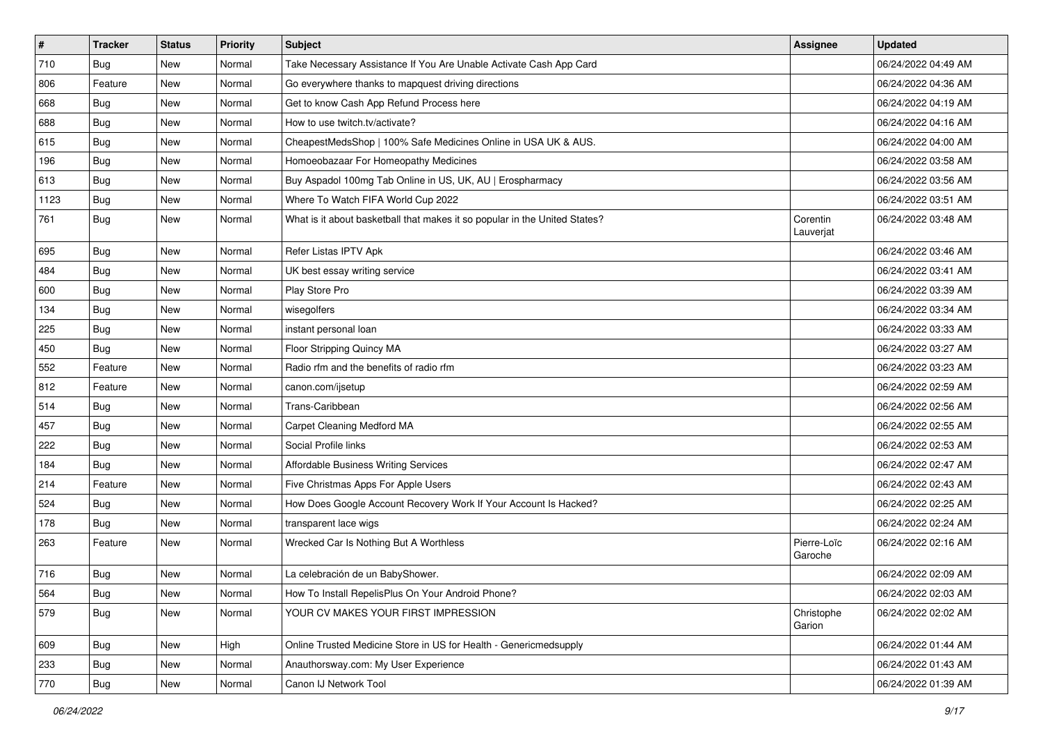| $\vert$ # | <b>Tracker</b> | <b>Status</b> | <b>Priority</b> | <b>Subject</b>                                                             | <b>Assignee</b>        | <b>Updated</b>      |
|-----------|----------------|---------------|-----------------|----------------------------------------------------------------------------|------------------------|---------------------|
| 710       | <b>Bug</b>     | New           | Normal          | Take Necessary Assistance If You Are Unable Activate Cash App Card         |                        | 06/24/2022 04:49 AM |
| 806       | Feature        | New           | Normal          | Go everywhere thanks to mapquest driving directions                        |                        | 06/24/2022 04:36 AM |
| 668       | Bug            | New           | Normal          | Get to know Cash App Refund Process here                                   |                        | 06/24/2022 04:19 AM |
| 688       | <b>Bug</b>     | New           | Normal          | How to use twitch.tv/activate?                                             |                        | 06/24/2022 04:16 AM |
| 615       | Bug            | New           | Normal          | CheapestMedsShop   100% Safe Medicines Online in USA UK & AUS.             |                        | 06/24/2022 04:00 AM |
| 196       | <b>Bug</b>     | New           | Normal          | Homoeobazaar For Homeopathy Medicines                                      |                        | 06/24/2022 03:58 AM |
| 613       | Bug            | New           | Normal          | Buy Aspadol 100mg Tab Online in US, UK, AU   Erospharmacy                  |                        | 06/24/2022 03:56 AM |
| 1123      | <b>Bug</b>     | New           | Normal          | Where To Watch FIFA World Cup 2022                                         |                        | 06/24/2022 03:51 AM |
| 761       | <b>Bug</b>     | New           | Normal          | What is it about basketball that makes it so popular in the United States? | Corentin<br>Lauverjat  | 06/24/2022 03:48 AM |
| 695       | Bug            | New           | Normal          | Refer Listas IPTV Apk                                                      |                        | 06/24/2022 03:46 AM |
| 484       | <b>Bug</b>     | New           | Normal          | UK best essay writing service                                              |                        | 06/24/2022 03:41 AM |
| 600       | Bug            | New           | Normal          | Play Store Pro                                                             |                        | 06/24/2022 03:39 AM |
| 134       | Bug            | New           | Normal          | wisegolfers                                                                |                        | 06/24/2022 03:34 AM |
| 225       | Bug            | New           | Normal          | instant personal loan                                                      |                        | 06/24/2022 03:33 AM |
| 450       | <b>Bug</b>     | New           | Normal          | Floor Stripping Quincy MA                                                  |                        | 06/24/2022 03:27 AM |
| 552       | Feature        | New           | Normal          | Radio rfm and the benefits of radio rfm                                    |                        | 06/24/2022 03:23 AM |
| 812       | Feature        | New           | Normal          | canon.com/ijsetup                                                          |                        | 06/24/2022 02:59 AM |
| 514       | <b>Bug</b>     | New           | Normal          | Trans-Caribbean                                                            |                        | 06/24/2022 02:56 AM |
| 457       | Bug            | New           | Normal          | Carpet Cleaning Medford MA                                                 |                        | 06/24/2022 02:55 AM |
| 222       | Bug            | New           | Normal          | Social Profile links                                                       |                        | 06/24/2022 02:53 AM |
| 184       | <b>Bug</b>     | New           | Normal          | Affordable Business Writing Services                                       |                        | 06/24/2022 02:47 AM |
| 214       | Feature        | New           | Normal          | Five Christmas Apps For Apple Users                                        |                        | 06/24/2022 02:43 AM |
| 524       | Bug            | New           | Normal          | How Does Google Account Recovery Work If Your Account Is Hacked?           |                        | 06/24/2022 02:25 AM |
| 178       | <b>Bug</b>     | New           | Normal          | transparent lace wigs                                                      |                        | 06/24/2022 02:24 AM |
| 263       | Feature        | New           | Normal          | Wrecked Car Is Nothing But A Worthless                                     | Pierre-Loïc<br>Garoche | 06/24/2022 02:16 AM |
| 716       | Bug            | New           | Normal          | La celebración de un BabyShower.                                           |                        | 06/24/2022 02:09 AM |
| 564       | Bug            | New           | Normal          | How To Install RepelisPlus On Your Android Phone?                          |                        | 06/24/2022 02:03 AM |
| 579       | <b>Bug</b>     | New           | Normal          | YOUR CV MAKES YOUR FIRST IMPRESSION                                        | Christophe<br>Garion   | 06/24/2022 02:02 AM |
| 609       | Bug            | New           | High            | Online Trusted Medicine Store in US for Health - Genericmedsupply          |                        | 06/24/2022 01:44 AM |
| 233       | <b>Bug</b>     | New           | Normal          | Anauthorsway.com: My User Experience                                       |                        | 06/24/2022 01:43 AM |
| 770       | <b>Bug</b>     | New           | Normal          | Canon IJ Network Tool                                                      |                        | 06/24/2022 01:39 AM |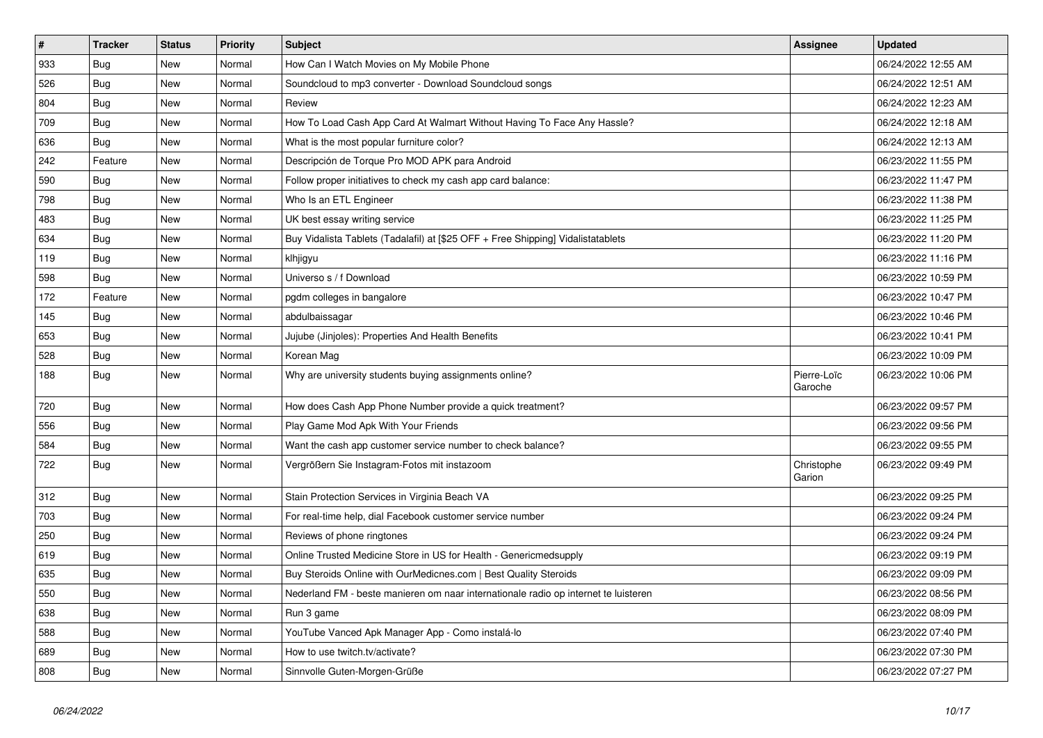| $\vert$ # | <b>Tracker</b> | <b>Status</b> | <b>Priority</b> | <b>Subject</b>                                                                      | Assignee               | <b>Updated</b>      |
|-----------|----------------|---------------|-----------------|-------------------------------------------------------------------------------------|------------------------|---------------------|
| 933       | <b>Bug</b>     | <b>New</b>    | Normal          | How Can I Watch Movies on My Mobile Phone                                           |                        | 06/24/2022 12:55 AM |
| 526       | <b>Bug</b>     | <b>New</b>    | Normal          | Soundcloud to mp3 converter - Download Soundcloud songs                             |                        | 06/24/2022 12:51 AM |
| 804       | Bug            | <b>New</b>    | Normal          | Review                                                                              |                        | 06/24/2022 12:23 AM |
| 709       | Bug            | New           | Normal          | How To Load Cash App Card At Walmart Without Having To Face Any Hassle?             |                        | 06/24/2022 12:18 AM |
| 636       | Bug            | New           | Normal          | What is the most popular furniture color?                                           |                        | 06/24/2022 12:13 AM |
| 242       | Feature        | New           | Normal          | Descripción de Torque Pro MOD APK para Android                                      |                        | 06/23/2022 11:55 PM |
| 590       | <b>Bug</b>     | New           | Normal          | Follow proper initiatives to check my cash app card balance:                        |                        | 06/23/2022 11:47 PM |
| 798       | Bug            | <b>New</b>    | Normal          | Who Is an ETL Engineer                                                              |                        | 06/23/2022 11:38 PM |
| 483       | Bug            | <b>New</b>    | Normal          | UK best essay writing service                                                       |                        | 06/23/2022 11:25 PM |
| 634       | <b>Bug</b>     | New           | Normal          | Buy Vidalista Tablets (Tadalafil) at [\$25 OFF + Free Shipping] Vidalistatablets    |                        | 06/23/2022 11:20 PM |
| 119       | Bug            | New           | Normal          | klhjigyu                                                                            |                        | 06/23/2022 11:16 PM |
| 598       | Bug            | New           | Normal          | Universo s / f Download                                                             |                        | 06/23/2022 10:59 PM |
| 172       | Feature        | <b>New</b>    | Normal          | pgdm colleges in bangalore                                                          |                        | 06/23/2022 10:47 PM |
| 145       | Bug            | <b>New</b>    | Normal          | abdulbaissagar                                                                      |                        | 06/23/2022 10:46 PM |
| 653       | <b>Bug</b>     | New           | Normal          | Jujube (Jinjoles): Properties And Health Benefits                                   |                        | 06/23/2022 10:41 PM |
| 528       | <b>Bug</b>     | New           | Normal          | Korean Mag                                                                          |                        | 06/23/2022 10:09 PM |
| 188       | Bug            | New           | Normal          | Why are university students buying assignments online?                              | Pierre-Loïc<br>Garoche | 06/23/2022 10:06 PM |
| 720       | Bug            | New           | Normal          | How does Cash App Phone Number provide a quick treatment?                           |                        | 06/23/2022 09:57 PM |
| 556       | <b>Bug</b>     | New           | Normal          | Play Game Mod Apk With Your Friends                                                 |                        | 06/23/2022 09:56 PM |
| 584       | Bug            | New           | Normal          | Want the cash app customer service number to check balance?                         |                        | 06/23/2022 09:55 PM |
| 722       | <b>Bug</b>     | New           | Normal          | Vergrößern Sie Instagram-Fotos mit instazoom                                        | Christophe<br>Garion   | 06/23/2022 09:49 PM |
| 312       | <b>Bug</b>     | New           | Normal          | Stain Protection Services in Virginia Beach VA                                      |                        | 06/23/2022 09:25 PM |
| 703       | <b>Bug</b>     | New           | Normal          | For real-time help, dial Facebook customer service number                           |                        | 06/23/2022 09:24 PM |
| 250       | <b>Bug</b>     | New           | Normal          | Reviews of phone ringtones                                                          |                        | 06/23/2022 09:24 PM |
| 619       | Bug            | New           | Normal          | Online Trusted Medicine Store in US for Health - Genericmedsupply                   |                        | 06/23/2022 09:19 PM |
| 635       | <b>Bug</b>     | New           | Normal          | Buy Steroids Online with OurMedicnes.com   Best Quality Steroids                    |                        | 06/23/2022 09:09 PM |
| 550       | <b>Bug</b>     | New           | Normal          | Nederland FM - beste manieren om naar internationale radio op internet te luisteren |                        | 06/23/2022 08:56 PM |
| 638       | <b>Bug</b>     | New           | Normal          | Run 3 game                                                                          |                        | 06/23/2022 08:09 PM |
| 588       | <b>Bug</b>     | New           | Normal          | YouTube Vanced Apk Manager App - Como instalá-lo                                    |                        | 06/23/2022 07:40 PM |
| 689       | <b>Bug</b>     | New           | Normal          | How to use twitch.tv/activate?                                                      |                        | 06/23/2022 07:30 PM |
| 808       | <b>Bug</b>     | New           | Normal          | Sinnvolle Guten-Morgen-Grüße                                                        |                        | 06/23/2022 07:27 PM |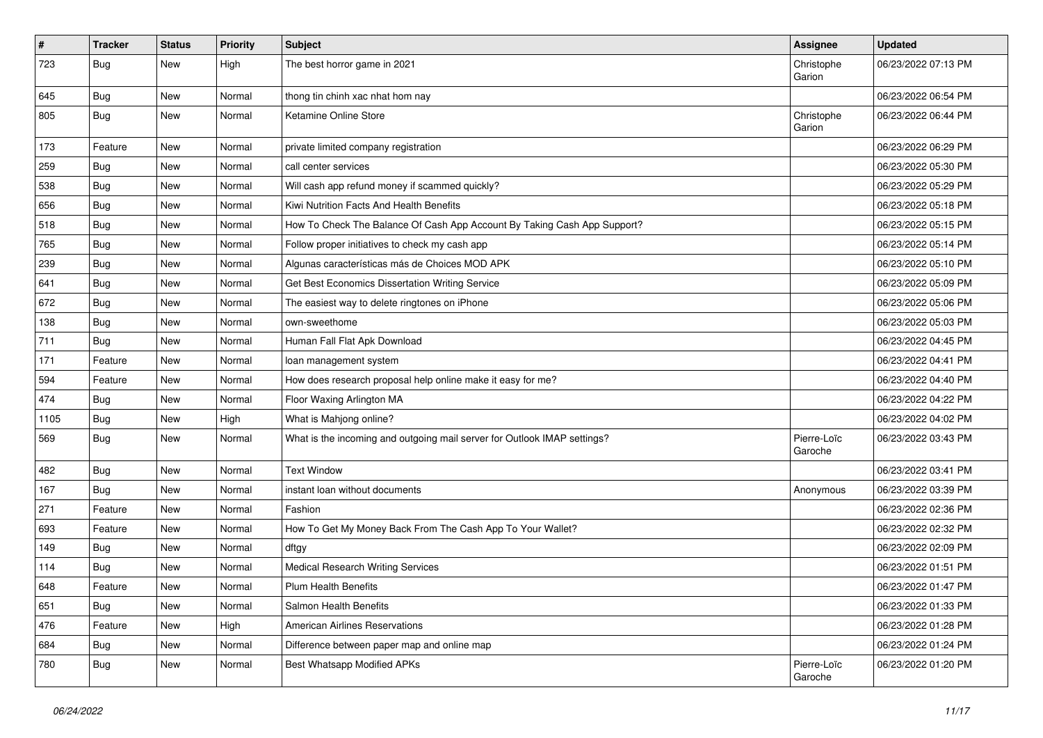| $\vert$ # | Tracker    | <b>Status</b> | <b>Priority</b> | <b>Subject</b>                                                           | <b>Assignee</b>        | <b>Updated</b>      |
|-----------|------------|---------------|-----------------|--------------------------------------------------------------------------|------------------------|---------------------|
| 723       | <b>Bug</b> | New           | High            | The best horror game in 2021                                             | Christophe<br>Garion   | 06/23/2022 07:13 PM |
| 645       | <b>Bug</b> | New           | Normal          | thong tin chinh xac nhat hom nay                                         |                        | 06/23/2022 06:54 PM |
| 805       | Bug        | New           | Normal          | Ketamine Online Store                                                    | Christophe<br>Garion   | 06/23/2022 06:44 PM |
| 173       | Feature    | New           | Normal          | private limited company registration                                     |                        | 06/23/2022 06:29 PM |
| 259       | <b>Bug</b> | New           | Normal          | call center services                                                     |                        | 06/23/2022 05:30 PM |
| 538       | Bug        | New           | Normal          | Will cash app refund money if scammed quickly?                           |                        | 06/23/2022 05:29 PM |
| 656       | <b>Bug</b> | New           | Normal          | Kiwi Nutrition Facts And Health Benefits                                 |                        | 06/23/2022 05:18 PM |
| 518       | Bug        | New           | Normal          | How To Check The Balance Of Cash App Account By Taking Cash App Support? |                        | 06/23/2022 05:15 PM |
| 765       | <b>Bug</b> | New           | Normal          | Follow proper initiatives to check my cash app                           |                        | 06/23/2022 05:14 PM |
| 239       | <b>Bug</b> | New           | Normal          | Algunas características más de Choices MOD APK                           |                        | 06/23/2022 05:10 PM |
| 641       | Bug        | New           | Normal          | Get Best Economics Dissertation Writing Service                          |                        | 06/23/2022 05:09 PM |
| 672       | <b>Bug</b> | New           | Normal          | The easiest way to delete ringtones on iPhone                            |                        | 06/23/2022 05:06 PM |
| 138       | <b>Bug</b> | New           | Normal          | own-sweethome                                                            |                        | 06/23/2022 05:03 PM |
| 711       | Bug        | New           | Normal          | Human Fall Flat Apk Download                                             |                        | 06/23/2022 04:45 PM |
| 171       | Feature    | New           | Normal          | loan management system                                                   |                        | 06/23/2022 04:41 PM |
| 594       | Feature    | New           | Normal          | How does research proposal help online make it easy for me?              |                        | 06/23/2022 04:40 PM |
| 474       | <b>Bug</b> | New           | Normal          | Floor Waxing Arlington MA                                                |                        | 06/23/2022 04:22 PM |
| 1105      | <b>Bug</b> | New           | High            | What is Mahjong online?                                                  |                        | 06/23/2022 04:02 PM |
| 569       | <b>Bug</b> | New           | Normal          | What is the incoming and outgoing mail server for Outlook IMAP settings? | Pierre-Loïc<br>Garoche | 06/23/2022 03:43 PM |
| 482       | Bug        | New           | Normal          | <b>Text Window</b>                                                       |                        | 06/23/2022 03:41 PM |
| 167       | <b>Bug</b> | New           | Normal          | instant loan without documents                                           | Anonymous              | 06/23/2022 03:39 PM |
| 271       | Feature    | New           | Normal          | Fashion                                                                  |                        | 06/23/2022 02:36 PM |
| 693       | Feature    | New           | Normal          | How To Get My Money Back From The Cash App To Your Wallet?               |                        | 06/23/2022 02:32 PM |
| 149       | Bug        | New           | Normal          | dftgy                                                                    |                        | 06/23/2022 02:09 PM |
| 114       | <b>Bug</b> | New           | Normal          | <b>Medical Research Writing Services</b>                                 |                        | 06/23/2022 01:51 PM |
| 648       | Feature    | New           | Normal          | <b>Plum Health Benefits</b>                                              |                        | 06/23/2022 01:47 PM |
| 651       | Bug        | New           | Normal          | Salmon Health Benefits                                                   |                        | 06/23/2022 01:33 PM |
| 476       | Feature    | New           | High            | <b>American Airlines Reservations</b>                                    |                        | 06/23/2022 01:28 PM |
| 684       | Bug        | New           | Normal          | Difference between paper map and online map                              |                        | 06/23/2022 01:24 PM |
| 780       | <b>Bug</b> | New           | Normal          | Best Whatsapp Modified APKs                                              | Pierre-Loïc<br>Garoche | 06/23/2022 01:20 PM |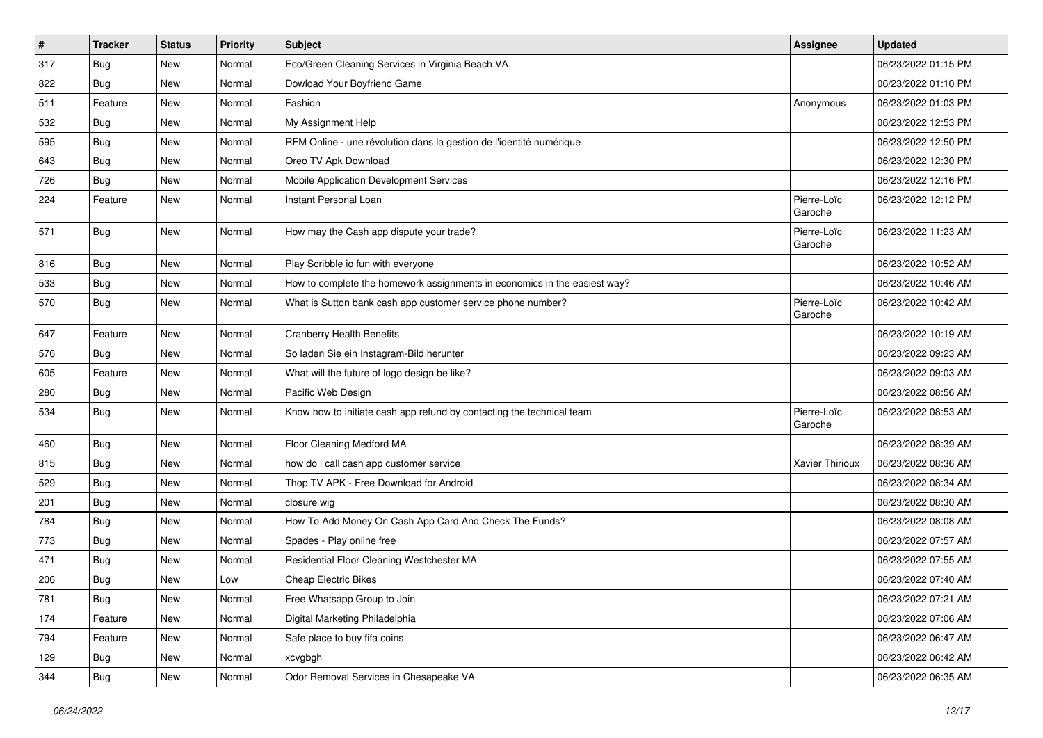| $\vert$ # | <b>Tracker</b> | <b>Status</b> | Priority | Subject                                                                   | Assignee               | <b>Updated</b>      |
|-----------|----------------|---------------|----------|---------------------------------------------------------------------------|------------------------|---------------------|
| 317       | <b>Bug</b>     | New           | Normal   | Eco/Green Cleaning Services in Virginia Beach VA                          |                        | 06/23/2022 01:15 PM |
| 822       | <b>Bug</b>     | New           | Normal   | Dowload Your Boyfriend Game                                               |                        | 06/23/2022 01:10 PM |
| 511       | Feature        | New           | Normal   | Fashion                                                                   | Anonymous              | 06/23/2022 01:03 PM |
| 532       | <b>Bug</b>     | New           | Normal   | My Assignment Help                                                        |                        | 06/23/2022 12:53 PM |
| 595       | Bug            | New           | Normal   | RFM Online - une révolution dans la gestion de l'identité numérique       |                        | 06/23/2022 12:50 PM |
| 643       | <b>Bug</b>     | New           | Normal   | Oreo TV Apk Download                                                      |                        | 06/23/2022 12:30 PM |
| 726       | <b>Bug</b>     | New           | Normal   | Mobile Application Development Services                                   |                        | 06/23/2022 12:16 PM |
| 224       | Feature        | New           | Normal   | <b>Instant Personal Loan</b>                                              | Pierre-Loïc<br>Garoche | 06/23/2022 12:12 PM |
| 571       | <b>Bug</b>     | New           | Normal   | How may the Cash app dispute your trade?                                  | Pierre-Loïc<br>Garoche | 06/23/2022 11:23 AM |
| 816       | Bug            | New           | Normal   | Play Scribble io fun with everyone                                        |                        | 06/23/2022 10:52 AM |
| 533       | Bug            | New           | Normal   | How to complete the homework assignments in economics in the easiest way? |                        | 06/23/2022 10:46 AM |
| 570       | Bug            | New           | Normal   | What is Sutton bank cash app customer service phone number?               | Pierre-Loïc<br>Garoche | 06/23/2022 10:42 AM |
| 647       | Feature        | New           | Normal   | <b>Cranberry Health Benefits</b>                                          |                        | 06/23/2022 10:19 AM |
| 576       | Bug            | New           | Normal   | So laden Sie ein Instagram-Bild herunter                                  |                        | 06/23/2022 09:23 AM |
| 605       | Feature        | New           | Normal   | What will the future of logo design be like?                              |                        | 06/23/2022 09:03 AM |
| 280       | <b>Bug</b>     | New           | Normal   | Pacific Web Design                                                        |                        | 06/23/2022 08:56 AM |
| 534       | <b>Bug</b>     | New           | Normal   | Know how to initiate cash app refund by contacting the technical team     | Pierre-Loïc<br>Garoche | 06/23/2022 08:53 AM |
| 460       | Bug            | New           | Normal   | Floor Cleaning Medford MA                                                 |                        | 06/23/2022 08:39 AM |
| 815       | Bug            | New           | Normal   | how do i call cash app customer service                                   | Xavier Thirioux        | 06/23/2022 08:36 AM |
| 529       | Bug            | New           | Normal   | Thop TV APK - Free Download for Android                                   |                        | 06/23/2022 08:34 AM |
| 201       | <b>Bug</b>     | New           | Normal   | closure wig                                                               |                        | 06/23/2022 08:30 AM |
| 784       | <b>Bug</b>     | New           | Normal   | How To Add Money On Cash App Card And Check The Funds?                    |                        | 06/23/2022 08:08 AM |
| 773       | <b>Bug</b>     | New           | Normal   | Spades - Play online free                                                 |                        | 06/23/2022 07:57 AM |
| 471       | Bug            | New           | Normal   | Residential Floor Cleaning Westchester MA                                 |                        | 06/23/2022 07:55 AM |
| 206       | Bug            | New           | Low      | <b>Cheap Electric Bikes</b>                                               |                        | 06/23/2022 07:40 AM |
| 781       | <b>Bug</b>     | New           | Normal   | Free Whatsapp Group to Join                                               |                        | 06/23/2022 07:21 AM |
| 174       | Feature        | New           | Normal   | Digital Marketing Philadelphia                                            |                        | 06/23/2022 07:06 AM |
| 794       | Feature        | New           | Normal   | Safe place to buy fifa coins                                              |                        | 06/23/2022 06:47 AM |
| 129       | <b>Bug</b>     | New           | Normal   | xcvgbgh                                                                   |                        | 06/23/2022 06:42 AM |
| 344       | <b>Bug</b>     | New           | Normal   | Odor Removal Services in Chesapeake VA                                    |                        | 06/23/2022 06:35 AM |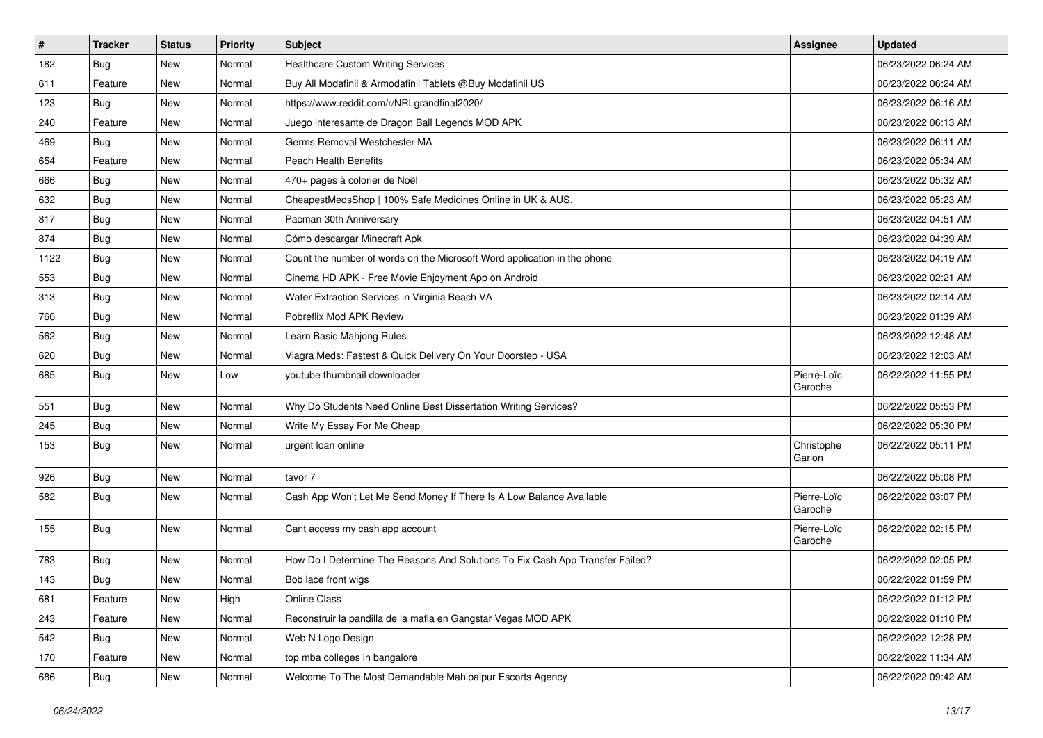| $\vert$ # | <b>Tracker</b> | <b>Status</b> | <b>Priority</b> | <b>Subject</b>                                                                | <b>Assignee</b>        | <b>Updated</b>      |
|-----------|----------------|---------------|-----------------|-------------------------------------------------------------------------------|------------------------|---------------------|
| 182       | <b>Bug</b>     | New           | Normal          | Healthcare Custom Writing Services                                            |                        | 06/23/2022 06:24 AM |
| 611       | Feature        | <b>New</b>    | Normal          | Buy All Modafinil & Armodafinil Tablets @Buy Modafinil US                     |                        | 06/23/2022 06:24 AM |
| 123       | Bug            | New           | Normal          | https://www.reddit.com/r/NRLgrandfinal2020/                                   |                        | 06/23/2022 06:16 AM |
| 240       | Feature        | New           | Normal          | Juego interesante de Dragon Ball Legends MOD APK                              |                        | 06/23/2022 06:13 AM |
| 469       | Bug            | New           | Normal          | Germs Removal Westchester MA                                                  |                        | 06/23/2022 06:11 AM |
| 654       | Feature        | New           | Normal          | Peach Health Benefits                                                         |                        | 06/23/2022 05:34 AM |
| 666       | Bug            | New           | Normal          | 470+ pages à colorier de Noël                                                 |                        | 06/23/2022 05:32 AM |
| 632       | <b>Bug</b>     | New           | Normal          | CheapestMedsShop   100% Safe Medicines Online in UK & AUS.                    |                        | 06/23/2022 05:23 AM |
| 817       | <b>Bug</b>     | <b>New</b>    | Normal          | Pacman 30th Anniversary                                                       |                        | 06/23/2022 04:51 AM |
| 874       | Bug            | New           | Normal          | Cómo descargar Minecraft Apk                                                  |                        | 06/23/2022 04:39 AM |
| 1122      | Bug            | New           | Normal          | Count the number of words on the Microsoft Word application in the phone      |                        | 06/23/2022 04:19 AM |
| 553       | Bug            | New           | Normal          | Cinema HD APK - Free Movie Enjoyment App on Android                           |                        | 06/23/2022 02:21 AM |
| 313       | Bug            | New           | Normal          | Water Extraction Services in Virginia Beach VA                                |                        | 06/23/2022 02:14 AM |
| 766       | Bug            | New           | Normal          | Pobreflix Mod APK Review                                                      |                        | 06/23/2022 01:39 AM |
| 562       | <b>Bug</b>     | New           | Normal          | Learn Basic Mahjong Rules                                                     |                        | 06/23/2022 12:48 AM |
| 620       | Bug            | New           | Normal          | Viagra Meds: Fastest & Quick Delivery On Your Doorstep - USA                  |                        | 06/23/2022 12:03 AM |
| 685       | <b>Bug</b>     | New           | Low             | youtube thumbnail downloader                                                  | Pierre-Loïc<br>Garoche | 06/22/2022 11:55 PM |
| 551       | Bug            | New           | Normal          | Why Do Students Need Online Best Dissertation Writing Services?               |                        | 06/22/2022 05:53 PM |
| 245       | <b>Bug</b>     | New           | Normal          | Write My Essay For Me Cheap                                                   |                        | 06/22/2022 05:30 PM |
| 153       | Bug            | New           | Normal          | urgent loan online                                                            | Christophe<br>Garion   | 06/22/2022 05:11 PM |
| 926       | <b>Bug</b>     | New           | Normal          | tavor 7                                                                       |                        | 06/22/2022 05:08 PM |
| 582       | Bug            | New           | Normal          | Cash App Won't Let Me Send Money If There Is A Low Balance Available          | Pierre-Loïc<br>Garoche | 06/22/2022 03:07 PM |
| 155       | Bug            | New           | Normal          | Cant access my cash app account                                               | Pierre-Loïc<br>Garoche | 06/22/2022 02:15 PM |
| 783       | Bug            | New           | Normal          | How Do I Determine The Reasons And Solutions To Fix Cash App Transfer Failed? |                        | 06/22/2022 02:05 PM |
| 143       | <b>Bug</b>     | New           | Normal          | Bob lace front wigs                                                           |                        | 06/22/2022 01:59 PM |
| 681       | Feature        | New           | High            | Online Class                                                                  |                        | 06/22/2022 01:12 PM |
| 243       | Feature        | New           | Normal          | Reconstruir la pandilla de la mafia en Gangstar Vegas MOD APK                 |                        | 06/22/2022 01:10 PM |
| 542       | Bug            | New           | Normal          | Web N Logo Design                                                             |                        | 06/22/2022 12:28 PM |
| 170       | Feature        | New           | Normal          | top mba colleges in bangalore                                                 |                        | 06/22/2022 11:34 AM |
| 686       | <b>Bug</b>     | New           | Normal          | Welcome To The Most Demandable Mahipalpur Escorts Agency                      |                        | 06/22/2022 09:42 AM |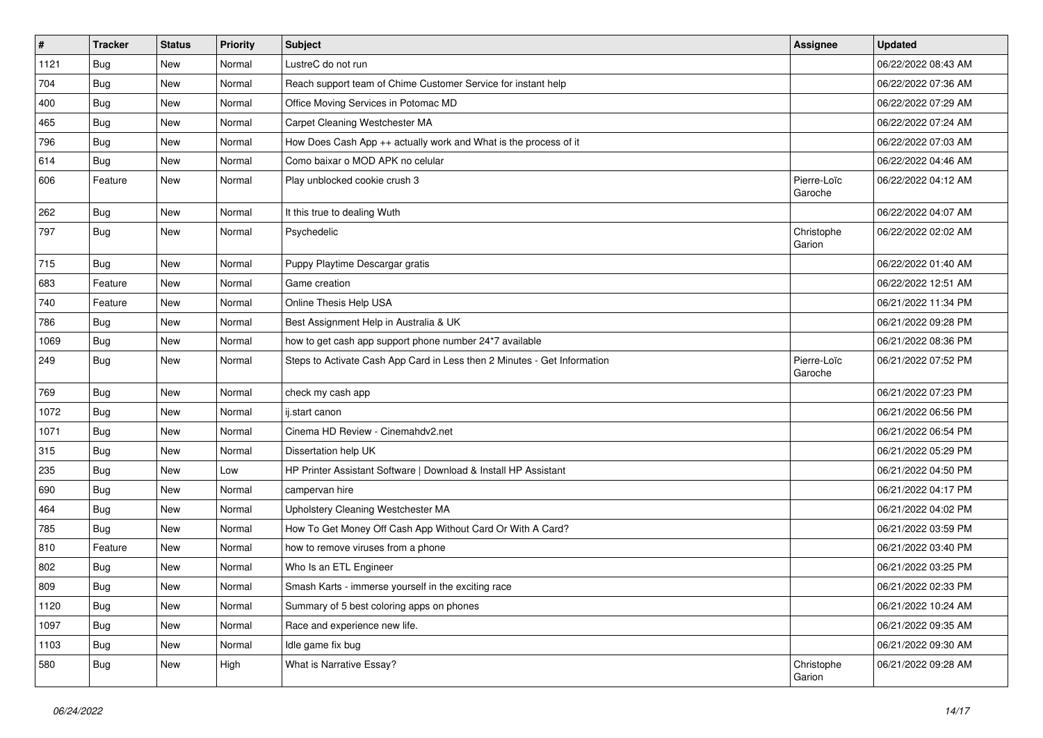| $\sharp$ | <b>Tracker</b> | <b>Status</b> | <b>Priority</b> | <b>Subject</b>                                                           | <b>Assignee</b>        | <b>Updated</b>      |
|----------|----------------|---------------|-----------------|--------------------------------------------------------------------------|------------------------|---------------------|
| 1121     | <b>Bug</b>     | New           | Normal          | LustreC do not run                                                       |                        | 06/22/2022 08:43 AM |
| 704      | <b>Bug</b>     | New           | Normal          | Reach support team of Chime Customer Service for instant help            |                        | 06/22/2022 07:36 AM |
| 400      | Bug            | New           | Normal          | Office Moving Services in Potomac MD                                     |                        | 06/22/2022 07:29 AM |
| 465      | Bug            | New           | Normal          | Carpet Cleaning Westchester MA                                           |                        | 06/22/2022 07:24 AM |
| 796      | Bug            | New           | Normal          | How Does Cash App ++ actually work and What is the process of it         |                        | 06/22/2022 07:03 AM |
| 614      | <b>Bug</b>     | New           | Normal          | Como baixar o MOD APK no celular                                         |                        | 06/22/2022 04:46 AM |
| 606      | Feature        | New           | Normal          | Play unblocked cookie crush 3                                            | Pierre-Loïc<br>Garoche | 06/22/2022 04:12 AM |
| 262      | Bug            | New           | Normal          | It this true to dealing Wuth                                             |                        | 06/22/2022 04:07 AM |
| 797      | <b>Bug</b>     | New           | Normal          | Psychedelic                                                              | Christophe<br>Garion   | 06/22/2022 02:02 AM |
| 715      | Bug            | New           | Normal          | Puppy Playtime Descargar gratis                                          |                        | 06/22/2022 01:40 AM |
| 683      | Feature        | New           | Normal          | Game creation                                                            |                        | 06/22/2022 12:51 AM |
| 740      | Feature        | New           | Normal          | Online Thesis Help USA                                                   |                        | 06/21/2022 11:34 PM |
| 786      | Bug            | New           | Normal          | Best Assignment Help in Australia & UK                                   |                        | 06/21/2022 09:28 PM |
| 1069     | Bug            | New           | Normal          | how to get cash app support phone number 24*7 available                  |                        | 06/21/2022 08:36 PM |
| 249      | <b>Bug</b>     | New           | Normal          | Steps to Activate Cash App Card in Less then 2 Minutes - Get Information | Pierre-Loïc<br>Garoche | 06/21/2022 07:52 PM |
| 769      | Bug            | New           | Normal          | check my cash app                                                        |                        | 06/21/2022 07:23 PM |
| 1072     | Bug            | New           | Normal          | ij.start canon                                                           |                        | 06/21/2022 06:56 PM |
| 1071     | Bug            | New           | Normal          | Cinema HD Review - Cinemahdv2.net                                        |                        | 06/21/2022 06:54 PM |
| 315      | <b>Bug</b>     | New           | Normal          | Dissertation help UK                                                     |                        | 06/21/2022 05:29 PM |
| 235      | Bug            | New           | Low             | HP Printer Assistant Software   Download & Install HP Assistant          |                        | 06/21/2022 04:50 PM |
| 690      | Bug            | New           | Normal          | campervan hire                                                           |                        | 06/21/2022 04:17 PM |
| 464      | <b>Bug</b>     | New           | Normal          | Upholstery Cleaning Westchester MA                                       |                        | 06/21/2022 04:02 PM |
| 785      | <b>Bug</b>     | New           | Normal          | How To Get Money Off Cash App Without Card Or With A Card?               |                        | 06/21/2022 03:59 PM |
| 810      | Feature        | New           | Normal          | how to remove viruses from a phone                                       |                        | 06/21/2022 03:40 PM |
| 802      | <b>Bug</b>     | New           | Normal          | Who Is an ETL Engineer                                                   |                        | 06/21/2022 03:25 PM |
| 809      | Bug            | New           | Normal          | Smash Karts - immerse yourself in the exciting race                      |                        | 06/21/2022 02:33 PM |
| 1120     | <b>Bug</b>     | New           | Normal          | Summary of 5 best coloring apps on phones                                |                        | 06/21/2022 10:24 AM |
| 1097     | <b>Bug</b>     | New           | Normal          | Race and experience new life.                                            |                        | 06/21/2022 09:35 AM |
| 1103     | <b>Bug</b>     | New           | Normal          | Idle game fix bug                                                        |                        | 06/21/2022 09:30 AM |
| 580      | <b>Bug</b>     | New           | High            | What is Narrative Essay?                                                 | Christophe<br>Garion   | 06/21/2022 09:28 AM |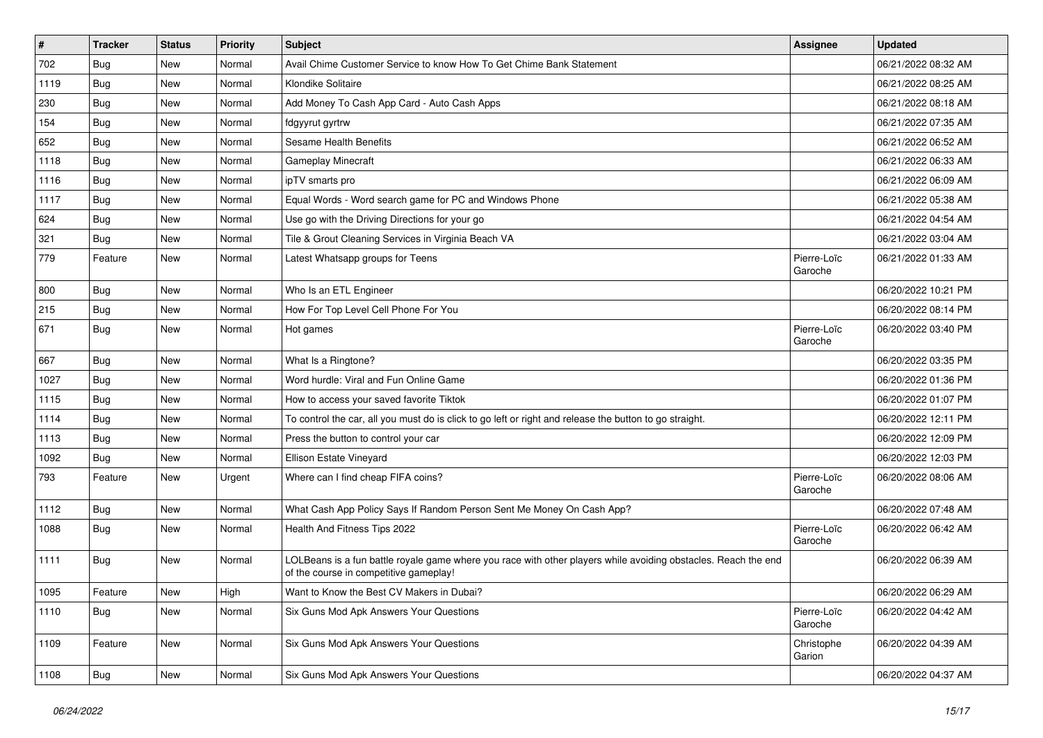| $\pmb{\#}$ | <b>Tracker</b> | <b>Status</b> | <b>Priority</b> | <b>Subject</b>                                                                                                                                           | <b>Assignee</b>        | <b>Updated</b>      |
|------------|----------------|---------------|-----------------|----------------------------------------------------------------------------------------------------------------------------------------------------------|------------------------|---------------------|
| 702        | <b>Bug</b>     | New           | Normal          | Avail Chime Customer Service to know How To Get Chime Bank Statement                                                                                     |                        | 06/21/2022 08:32 AM |
| 1119       | <b>Bug</b>     | New           | Normal          | Klondike Solitaire                                                                                                                                       |                        | 06/21/2022 08:25 AM |
| 230        | Bug            | New           | Normal          | Add Money To Cash App Card - Auto Cash Apps                                                                                                              |                        | 06/21/2022 08:18 AM |
| 154        | Bug            | New           | Normal          | fdgyyrut gyrtrw                                                                                                                                          |                        | 06/21/2022 07:35 AM |
| 652        | Bug            | New           | Normal          | Sesame Health Benefits                                                                                                                                   |                        | 06/21/2022 06:52 AM |
| 1118       | Bug            | New           | Normal          | <b>Gameplay Minecraft</b>                                                                                                                                |                        | 06/21/2022 06:33 AM |
| 1116       | Bug            | New           | Normal          | ipTV smarts pro                                                                                                                                          |                        | 06/21/2022 06:09 AM |
| 1117       | <b>Bug</b>     | New           | Normal          | Equal Words - Word search game for PC and Windows Phone                                                                                                  |                        | 06/21/2022 05:38 AM |
| 624        | Bug            | New           | Normal          | Use go with the Driving Directions for your go                                                                                                           |                        | 06/21/2022 04:54 AM |
| 321        | Bug            | New           | Normal          | Tile & Grout Cleaning Services in Virginia Beach VA                                                                                                      |                        | 06/21/2022 03:04 AM |
| 779        | Feature        | New           | Normal          | Latest Whatsapp groups for Teens                                                                                                                         | Pierre-Loïc<br>Garoche | 06/21/2022 01:33 AM |
| 800        | Bug            | New           | Normal          | Who Is an ETL Engineer                                                                                                                                   |                        | 06/20/2022 10:21 PM |
| 215        | Bug            | New           | Normal          | How For Top Level Cell Phone For You                                                                                                                     |                        | 06/20/2022 08:14 PM |
| 671        | <b>Bug</b>     | New           | Normal          | Hot games                                                                                                                                                | Pierre-Loïc<br>Garoche | 06/20/2022 03:40 PM |
| 667        | Bug            | New           | Normal          | What Is a Ringtone?                                                                                                                                      |                        | 06/20/2022 03:35 PM |
| 1027       | <b>Bug</b>     | New           | Normal          | Word hurdle: Viral and Fun Online Game                                                                                                                   |                        | 06/20/2022 01:36 PM |
| 1115       | Bug            | New           | Normal          | How to access your saved favorite Tiktok                                                                                                                 |                        | 06/20/2022 01:07 PM |
| 1114       | Bug            | New           | Normal          | To control the car, all you must do is click to go left or right and release the button to go straight.                                                  |                        | 06/20/2022 12:11 PM |
| 1113       | Bug            | New           | Normal          | Press the button to control your car                                                                                                                     |                        | 06/20/2022 12:09 PM |
| 1092       | Bug            | New           | Normal          | Ellison Estate Vineyard                                                                                                                                  |                        | 06/20/2022 12:03 PM |
| 793        | Feature        | New           | Urgent          | Where can I find cheap FIFA coins?                                                                                                                       | Pierre-Loïc<br>Garoche | 06/20/2022 08:06 AM |
| 1112       | Bug            | New           | Normal          | What Cash App Policy Says If Random Person Sent Me Money On Cash App?                                                                                    |                        | 06/20/2022 07:48 AM |
| 1088       | Bug            | New           | Normal          | Health And Fitness Tips 2022                                                                                                                             | Pierre-Loïc<br>Garoche | 06/20/2022 06:42 AM |
| 1111       | Bug            | New           | Normal          | LOLBeans is a fun battle royale game where you race with other players while avoiding obstacles. Reach the end<br>of the course in competitive gameplay! |                        | 06/20/2022 06:39 AM |
| 1095       | Feature        | New           | High            | Want to Know the Best CV Makers in Dubai?                                                                                                                |                        | 06/20/2022 06:29 AM |
| 1110       | Bug            | New           | Normal          | Six Guns Mod Apk Answers Your Questions                                                                                                                  | Pierre-Loïc<br>Garoche | 06/20/2022 04:42 AM |
| 1109       | Feature        | New           | Normal          | Six Guns Mod Apk Answers Your Questions                                                                                                                  | Christophe<br>Garion   | 06/20/2022 04:39 AM |
| 1108       | Bug            | New           | Normal          | Six Guns Mod Apk Answers Your Questions                                                                                                                  |                        | 06/20/2022 04:37 AM |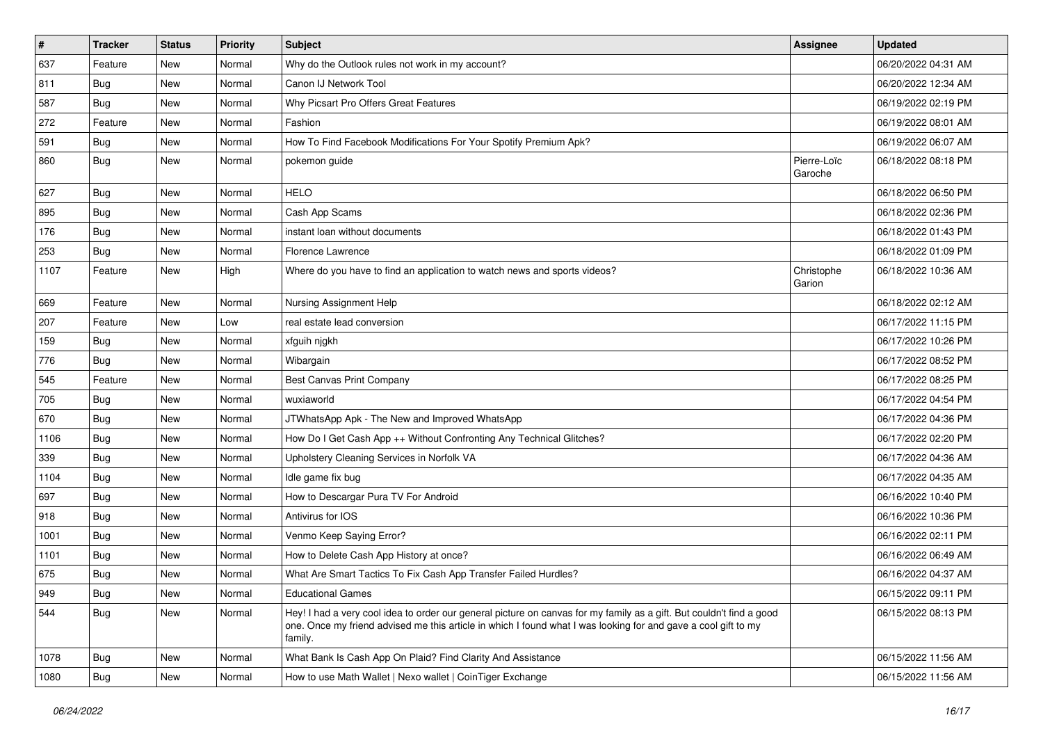| $\pmb{\#}$ | <b>Tracker</b> | <b>Status</b> | <b>Priority</b> | Subject                                                                                                                                                                                                                                           | <b>Assignee</b>        | <b>Updated</b>      |
|------------|----------------|---------------|-----------------|---------------------------------------------------------------------------------------------------------------------------------------------------------------------------------------------------------------------------------------------------|------------------------|---------------------|
| 637        | Feature        | New           | Normal          | Why do the Outlook rules not work in my account?                                                                                                                                                                                                  |                        | 06/20/2022 04:31 AM |
| 811        | Bug            | New           | Normal          | Canon IJ Network Tool                                                                                                                                                                                                                             |                        | 06/20/2022 12:34 AM |
| 587        | <b>Bug</b>     | New           | Normal          | Why Picsart Pro Offers Great Features                                                                                                                                                                                                             |                        | 06/19/2022 02:19 PM |
| 272        | Feature        | New           | Normal          | Fashion                                                                                                                                                                                                                                           |                        | 06/19/2022 08:01 AM |
| 591        | Bug            | New           | Normal          | How To Find Facebook Modifications For Your Spotify Premium Apk?                                                                                                                                                                                  |                        | 06/19/2022 06:07 AM |
| 860        | Bug            | New           | Normal          | pokemon guide                                                                                                                                                                                                                                     | Pierre-Loïc<br>Garoche | 06/18/2022 08:18 PM |
| 627        | <b>Bug</b>     | New           | Normal          | <b>HELO</b>                                                                                                                                                                                                                                       |                        | 06/18/2022 06:50 PM |
| 895        | <b>Bug</b>     | New           | Normal          | Cash App Scams                                                                                                                                                                                                                                    |                        | 06/18/2022 02:36 PM |
| 176        | Bug            | New           | Normal          | instant loan without documents                                                                                                                                                                                                                    |                        | 06/18/2022 01:43 PM |
| 253        | Bug            | New           | Normal          | Florence Lawrence                                                                                                                                                                                                                                 |                        | 06/18/2022 01:09 PM |
| 1107       | Feature        | New           | High            | Where do you have to find an application to watch news and sports videos?                                                                                                                                                                         | Christophe<br>Garion   | 06/18/2022 10:36 AM |
| 669        | Feature        | New           | Normal          | Nursing Assignment Help                                                                                                                                                                                                                           |                        | 06/18/2022 02:12 AM |
| 207        | Feature        | New           | Low             | real estate lead conversion                                                                                                                                                                                                                       |                        | 06/17/2022 11:15 PM |
| 159        | Bug            | New           | Normal          | xfguih njgkh                                                                                                                                                                                                                                      |                        | 06/17/2022 10:26 PM |
| 776        | <b>Bug</b>     | New           | Normal          | Wibargain                                                                                                                                                                                                                                         |                        | 06/17/2022 08:52 PM |
| 545        | Feature        | New           | Normal          | <b>Best Canvas Print Company</b>                                                                                                                                                                                                                  |                        | 06/17/2022 08:25 PM |
| 705        | <b>Bug</b>     | New           | Normal          | wuxiaworld                                                                                                                                                                                                                                        |                        | 06/17/2022 04:54 PM |
| 670        | Bug            | New           | Normal          | JTWhatsApp Apk - The New and Improved WhatsApp                                                                                                                                                                                                    |                        | 06/17/2022 04:36 PM |
| 1106       | <b>Bug</b>     | New           | Normal          | How Do I Get Cash App ++ Without Confronting Any Technical Glitches?                                                                                                                                                                              |                        | 06/17/2022 02:20 PM |
| 339        | <b>Bug</b>     | New           | Normal          | Upholstery Cleaning Services in Norfolk VA                                                                                                                                                                                                        |                        | 06/17/2022 04:36 AM |
| 1104       | <b>Bug</b>     | New           | Normal          | Idle game fix bug                                                                                                                                                                                                                                 |                        | 06/17/2022 04:35 AM |
| 697        | <b>Bug</b>     | New           | Normal          | How to Descargar Pura TV For Android                                                                                                                                                                                                              |                        | 06/16/2022 10:40 PM |
| 918        | <b>Bug</b>     | New           | Normal          | Antivirus for IOS                                                                                                                                                                                                                                 |                        | 06/16/2022 10:36 PM |
| 1001       | <b>Bug</b>     | New           | Normal          | Venmo Keep Saying Error?                                                                                                                                                                                                                          |                        | 06/16/2022 02:11 PM |
| 1101       | Bug            | New           | Normal          | How to Delete Cash App History at once?                                                                                                                                                                                                           |                        | 06/16/2022 06:49 AM |
| 675        | <b>Bug</b>     | New           | Normal          | What Are Smart Tactics To Fix Cash App Transfer Failed Hurdles?                                                                                                                                                                                   |                        | 06/16/2022 04:37 AM |
| 949        | Bug            | New           | Normal          | <b>Educational Games</b>                                                                                                                                                                                                                          |                        | 06/15/2022 09:11 PM |
| 544        | <b>Bug</b>     | New           | Normal          | Hey! I had a very cool idea to order our general picture on canvas for my family as a gift. But couldn't find a good<br>one. Once my friend advised me this article in which I found what I was looking for and gave a cool gift to my<br>family. |                        | 06/15/2022 08:13 PM |
| 1078       | <b>Bug</b>     | New           | Normal          | What Bank Is Cash App On Plaid? Find Clarity And Assistance                                                                                                                                                                                       |                        | 06/15/2022 11:56 AM |
| 1080       | Bug            | New           | Normal          | How to use Math Wallet   Nexo wallet   CoinTiger Exchange                                                                                                                                                                                         |                        | 06/15/2022 11:56 AM |